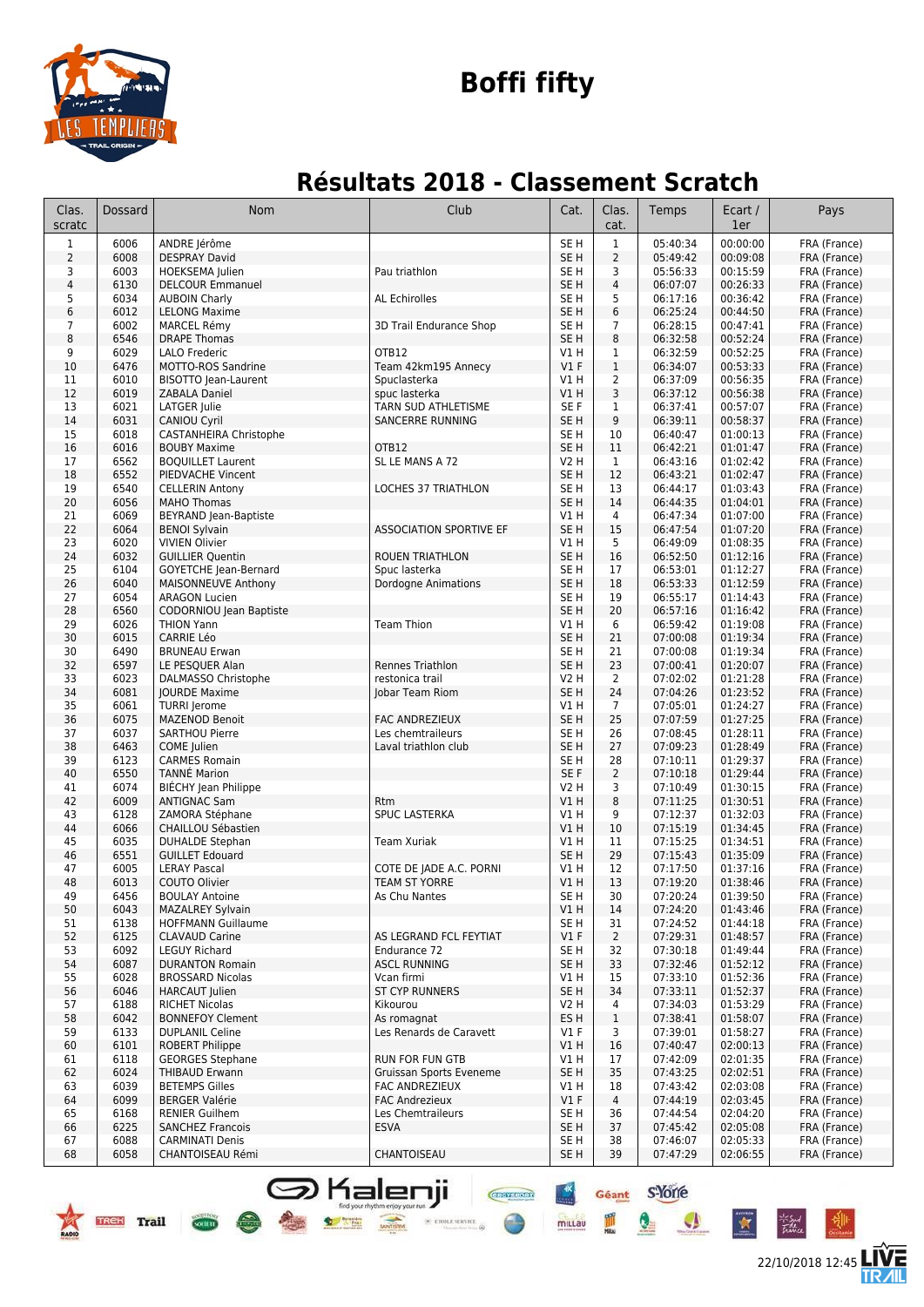

# **Boffi fifty**

### **Résultats 2018 - Classement Scratch**

| Clas.<br>scratc | Dossard      | Nom                                              | Club                                            | Cat.                               | Clas.<br>cat.  | Temps                | Ecart /<br>1er       | Pays                         |
|-----------------|--------------|--------------------------------------------------|-------------------------------------------------|------------------------------------|----------------|----------------------|----------------------|------------------------------|
| $\mathbf{1}$    | 6006         | ANDRE Jérôme                                     |                                                 | SE <sub>H</sub>                    | $1\,$          | 05:40:34             | 00:00:00             | FRA (France)                 |
| $\overline{2}$  | 6008         | <b>DESPRAY David</b>                             |                                                 | SE <sub>H</sub>                    | $\overline{2}$ | 05:49:42             | 00:09:08             | FRA (France)                 |
| 3               | 6003         | HOEKSEMA Julien                                  | Pau triathlon                                   | SE <sub>H</sub>                    | 3              | 05:56:33             | 00:15:59             | FRA (France)                 |
| $\overline{4}$  | 6130         | <b>DELCOUR Emmanuel</b>                          |                                                 | SE <sub>H</sub>                    | $\overline{4}$ | 06:07:07             | 00:26:33             | FRA (France)                 |
| 5               | 6034         | <b>AUBOIN Charly</b>                             | <b>AL Echirolles</b>                            | SE <sub>H</sub>                    | 5              | 06:17:16             | 00:36:42             | FRA (France)                 |
| $6\,$           | 6012         | <b>LELONG Maxime</b>                             |                                                 | SE <sub>H</sub>                    | 6              | 06:25:24             | 00:44:50             | FRA (France)                 |
| $\overline{7}$  | 6002         | MARCEL Rémy                                      | 3D Trail Endurance Shop                         | SE H                               | $\overline{7}$ | 06:28:15             | 00:47:41             | FRA (France)                 |
| 8               | 6546         | <b>DRAPE Thomas</b>                              |                                                 | SE H                               | 8              | 06:32:58             | 00:52:24             | FRA (France)                 |
| 9               | 6029         | LALO Frederic                                    | OTB12                                           | V1 H                               | 1<br>$1\,$     | 06:32:59             | 00:52:25             | FRA (France)<br>FRA (France) |
| 10<br>11        | 6476<br>6010 | MOTTO-ROS Sandrine                               | Team 42km195 Annecy<br>Spuclasterka             | $VI$ F<br>V1 H                     | $\overline{2}$ | 06:34:07<br>06:37:09 | 00:53:33<br>00:56:35 | FRA (France)                 |
| 12              | 6019         | BISOTTO Jean-Laurent<br><b>ZABALA Daniel</b>     | spuc lasterka                                   | V1 H                               | 3              | 06:37:12             | 00:56:38             | FRA (France)                 |
| 13              | 6021         | LATGER Julie                                     | TARN SUD ATHLETISME                             | SE <sub>F</sub>                    | 1              | 06:37:41             | 00:57:07             | FRA (France)                 |
| 14              | 6031         | <b>CANIOU Cyril</b>                              | SANCERRE RUNNING                                | SE <sub>H</sub>                    | 9              | 06:39:11             | 00:58:37             | FRA (France)                 |
| 15              | 6018         | <b>CASTANHEIRA Christophe</b>                    |                                                 | SE <sub>H</sub>                    | 10             | 06:40:47             | 01:00:13             | FRA (France)                 |
| 16              | 6016         | <b>BOUBY Maxime</b>                              | OTB12                                           | SE <sub>H</sub>                    | 11             | 06:42:21             | 01:01:47             | FRA (France)                 |
| 17              | 6562         | <b>BOQUILLET Laurent</b>                         | SL LE MANS A 72                                 | V2 H                               | $\mathbf{1}$   | 06:43:16             | 01:02:42             | FRA (France)                 |
| 18              | 6552         | PIEDVACHE Vincent                                |                                                 | SE <sub>H</sub>                    | 12             | 06:43:21             | 01:02:47             | FRA (France)                 |
| 19              | 6540         | <b>CELLERIN Antony</b>                           | <b>LOCHES 37 TRIATHLON</b>                      | SE H                               | 13             | 06:44:17             | 01:03:43             | FRA (France)                 |
| 20              | 6056         | <b>MAHO Thomas</b>                               |                                                 | SE <sub>H</sub>                    | 14             | 06:44:35             | 01:04:01             | FRA (France)                 |
| 21              | 6069         | BEYRAND Jean-Baptiste                            |                                                 | V1 H                               | 4              | 06:47:34             | 01:07:00             | FRA (France)                 |
| 22              | 6064         | <b>BENOI Sylvain</b>                             | <b>ASSOCIATION SPORTIVE EF</b>                  | SE <sub>H</sub>                    | 15             | 06:47:54             | 01:07:20             | FRA (France)                 |
| 23              | 6020         | <b>VIVIEN Olivier</b>                            |                                                 | V1 H                               | 5              | 06:49:09             | 01:08:35             | FRA (France)                 |
| 24              | 6032         | <b>GUILLIER Quentin</b>                          | <b>ROUEN TRIATHLON</b>                          | SE <sub>H</sub>                    | 16             | 06:52:50             | 01:12:16             | FRA (France)                 |
| 25              | 6104         | <b>GOYETCHE Jean-Bernard</b>                     | Spuc lasterka                                   | SE <sub>H</sub>                    | 17             | 06:53:01             | 01:12:27             | FRA (France)                 |
| 26              | 6040         | MAISONNEUVE Anthony                              | <b>Dordogne Animations</b>                      | SE <sub>H</sub>                    | 18             | 06:53:33             | 01:12:59             | FRA (France)                 |
| 27              | 6054         | <b>ARAGON Lucien</b>                             |                                                 | SE <sub>H</sub>                    | 19             | 06:55:17             | 01:14:43             | FRA (France)                 |
| 28              | 6560         | CODORNIOU Jean Baptiste                          |                                                 | SE <sub>H</sub>                    | 20             | 06:57:16             | 01:16:42             | FRA (France)                 |
| 29              | 6026         | <b>THION Yann</b>                                | <b>Team Thion</b>                               | V1 H                               | 6              | 06:59:42             | 01:19:08             | FRA (France)                 |
| 30              | 6015<br>6490 | <b>CARRIE Léo</b>                                |                                                 | SE <sub>H</sub><br>SE <sub>H</sub> | 21             | 07:00:08             | 01:19:34<br>01:19:34 | FRA (France)                 |
| 30<br>32        | 6597         | <b>BRUNEAU Erwan</b><br>LE PESQUER Alan          | Rennes Triathlon                                | SE <sub>H</sub>                    | 21<br>23       | 07:00:08<br>07:00:41 | 01:20:07             | FRA (France)<br>FRA (France) |
| 33              | 6023         | DALMASSO Christophe                              | restonica trail                                 | V2 H                               | 2              | 07:02:02             | 01:21:28             | FRA (France)                 |
| 34              | 6081         | <b>JOURDE Maxime</b>                             | Jobar Team Riom                                 | SE <sub>H</sub>                    | 24             | 07:04:26             | 01:23:52             | FRA (France)                 |
| 35              | 6061         | <b>TURRI</b> Jerome                              |                                                 | V1H                                | $\overline{7}$ | 07:05:01             | 01:24:27             | FRA (France)                 |
| 36              | 6075         | <b>MAZENOD Benoit</b>                            | <b>FAC ANDREZIEUX</b>                           | SE <sub>H</sub>                    | 25             | 07:07:59             | 01:27:25             | FRA (France)                 |
| 37              | 6037         | <b>SARTHOU Pierre</b>                            | Les chemtraileurs                               | SE <sub>H</sub>                    | 26             | 07:08:45             | 01:28:11             | FRA (France)                 |
| 38              | 6463         | COME Julien                                      | Laval triathlon club                            | SE <sub>H</sub>                    | 27             | 07:09:23             | 01:28:49             | FRA (France)                 |
| 39              | 6123         | <b>CARMES Romain</b>                             |                                                 | SE <sub>H</sub>                    | 28             | 07:10:11             | 01:29:37             | FRA (France)                 |
| 40              | 6550         | <b>TANNÉ Marion</b>                              |                                                 | SE F                               | $\overline{2}$ | 07:10:18             | 01:29:44             | FRA (France)                 |
| 41              | 6074         | BIECHY Jean Philippe                             |                                                 | V2 H                               | 3              | 07:10:49             | 01:30:15             | FRA (France)                 |
| 42              | 6009         | <b>ANTIGNAC Sam</b>                              | <b>Rtm</b>                                      | VIH                                | 8              | 07:11:25             | 01:30:51             | FRA (France)                 |
| 43              | 6128         | ZAMORA Stéphane                                  | <b>SPUC LASTERKA</b>                            | V1 H                               | 9              | 07:12:37             | 01:32:03             | FRA (France)                 |
| 44              | 6066         | CHAILLOU Sébastien                               |                                                 | V1 H                               | 10             | 07:15:19             | 01:34:45             | FRA (France)                 |
| 45              | 6035         | <b>DUHALDE Stephan</b>                           | <b>Team Xuriak</b>                              | V1 H                               | 11             | 07:15:25             | 01:34:51             | FRA (France)                 |
| 46              | 6551         | <b>GUILLET Edouard</b>                           |                                                 | SE <sub>H</sub>                    | 29             | 07:15:43             | 01:35:09             | FRA (France)                 |
| 47              | 6005         | <b>LERAY Pascal</b><br>COUTO Olivier             | COTE DE JADE A.C. PORNI<br><b>TEAM ST YORRE</b> | V1 H                               | 12             | 07:17:50             | 01:37:16             | FRA (France)                 |
| 48              | 6013         |                                                  |                                                 | VIH                                | 13             | 07:19:20             | 01:38:46             | FRA (France)                 |
| 49<br>50        | 6456<br>6043 | <b>BOULAY Antoine</b><br><b>MAZALREY Sylvain</b> | As Chu Nantes                                   | SE H<br>V1 H                       | 30<br>14       | 07:20:24<br>07:24:20 | 01:39:50<br>01:43:46 | FRA (France)<br>FRA (France) |
| 51              | 6138         | <b>HOFFMANN Guillaume</b>                        |                                                 | SE <sub>H</sub>                    | 31             | 07:24:52             | 01:44:18             | FRA (France)                 |
| 52              | 6125         | <b>CLAVAUD Carine</b>                            | AS LEGRAND FCL FEYTIAT                          | $VI$ F                             | $\overline{2}$ | 07:29:31             | 01:48:57             | FRA (France)                 |
| 53              | 6092         | <b>LEGUY Richard</b>                             | Endurance 72                                    | SE H                               | 32             | 07:30:18             | 01:49:44             | FRA (France)                 |
| 54              | 6087         | <b>DURANTON Romain</b>                           | <b>ASCL RUNNING</b>                             | SE <sub>H</sub>                    | 33             | 07:32:46             | 01:52:12             | FRA (France)                 |
| 55              | 6028         | <b>BROSSARD Nicolas</b>                          | Vcan firmi                                      | V1 H                               | 15             | 07:33:10             | 01:52:36             | FRA (France)                 |
| 56              | 6046         | <b>HARCAUT Julien</b>                            | <b>ST CYP RUNNERS</b>                           | SE <sub>H</sub>                    | 34             | 07:33:11             | 01:52:37             | FRA (France)                 |
| 57              | 6188         | <b>RICHET Nicolas</b>                            | Kikourou                                        | V2 H                               | 4              | 07:34:03             | 01:53:29             | FRA (France)                 |
| 58              | 6042         | <b>BONNEFOY Clement</b>                          | As romagnat                                     | ES H                               | $\mathbf{1}$   | 07:38:41             | 01:58:07             | FRA (France)                 |
| 59              | 6133         | <b>DUPLANIL Celine</b>                           | Les Renards de Caravett                         | $VI$ F                             | 3              | 07:39:01             | 01:58:27             | FRA (France)                 |
| 60              | 6101         | <b>ROBERT Philippe</b>                           |                                                 | V1 H                               | 16             | 07:40:47             | 02:00:13             | FRA (France)                 |
| 61              | 6118         | <b>GEORGES Stephane</b>                          | <b>RUN FOR FUN GTB</b>                          | V1 H                               | 17             | 07:42:09             | 02:01:35             | FRA (France)                 |
| 62              | 6024         | <b>THIBAUD Erwann</b>                            | Gruissan Sports Eveneme                         | SE <sub>H</sub>                    | 35             | 07:43:25             | 02:02:51             | FRA (France)                 |
| 63              | 6039         | <b>BETEMPS Gilles</b>                            | FAC ANDREZIEUX                                  | V1 H                               | 18             | 07:43:42             | 02:03:08             | FRA (France)                 |
| 64              | 6099         | <b>BERGER Valérie</b>                            | <b>FAC Andrezieux</b>                           | $VI$ F                             | $\overline{4}$ | 07:44:19             | 02:03:45             | FRA (France)                 |
| 65              | 6168         | <b>RENIER Guilhem</b>                            | Les Chemtraileurs                               | SE H                               | 36             | 07:44:54             | 02:04:20             | FRA (France)                 |
| 66              | 6225         | <b>SANCHEZ Francois</b>                          | <b>ESVA</b>                                     | SE <sub>H</sub>                    | 37             | 07:45:42             | 02:05:08             | FRA (France)                 |
| 67              | 6088         | <b>CARMINATI Denis</b>                           |                                                 | SE H                               | 38             | 07:46:07             | 02:05:33             | FRA (France)                 |
| 68              | 6058         | CHANTOISEAU Rémi                                 | CHANTOISEAU                                     | SE H                               | 39             | 07:47:29             | 02:06:55             | FRA (France)                 |

**S** Kalenji

TREK Trail Com

22/10/2018 12:45

信

Géant S-Yorre

 $\bullet$ 

 $\mathbf{r}$ 

**CHOTERON** 

 $\times$  etoile server

 $+**x**$ 

millau D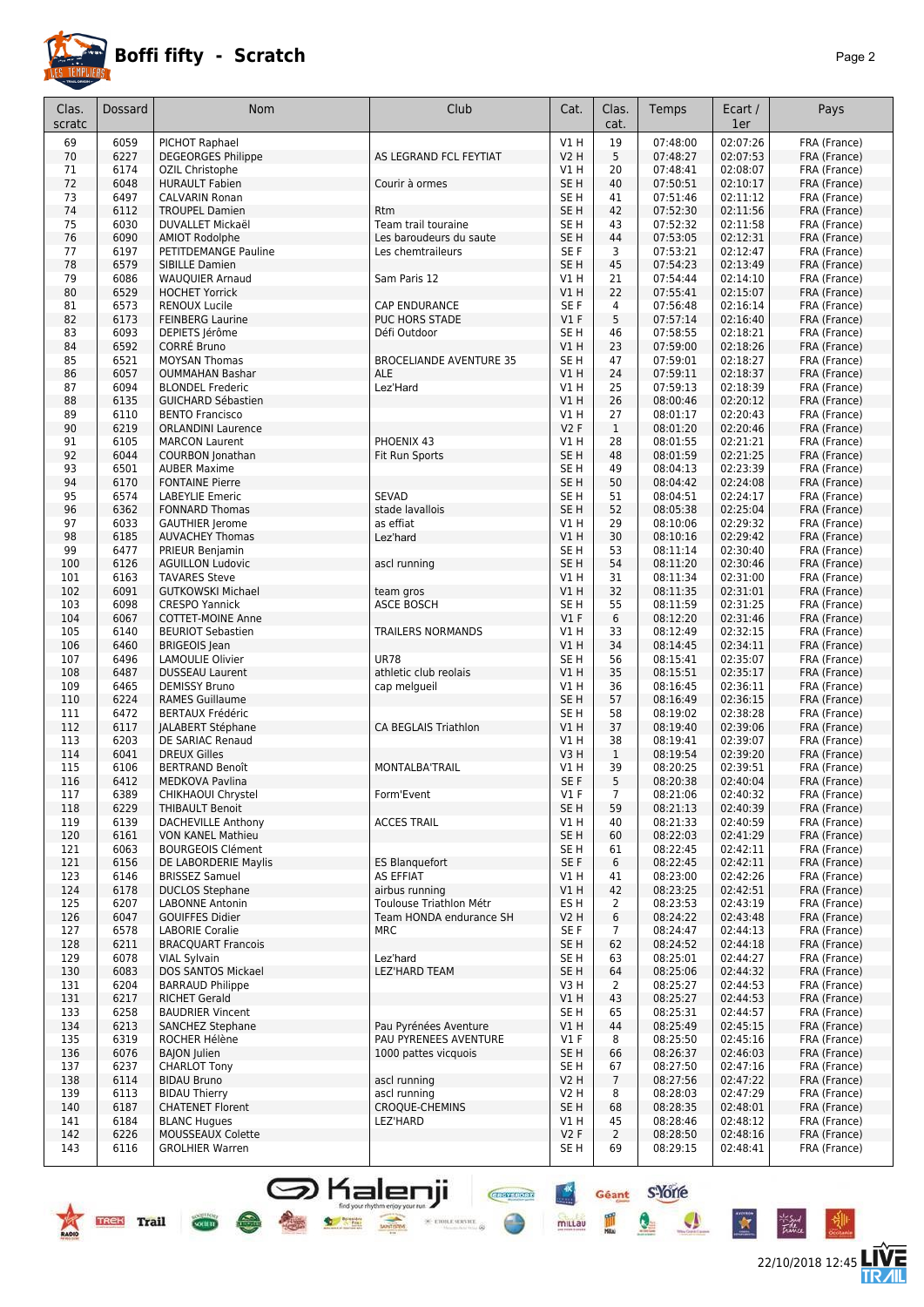

22/10/2018 12:45 **LIVE** 

Géant S-Yorre

 $\bullet$ 

 $\bullet$ 

 $\ddot{\ast}$ 

Pã.

圖

 $+<sup>x</sup>$ 

mittau

**CHEFFIORE** 

 $\frac{1}{\sqrt{2}}$  etoile service  $\frac{1}{\sqrt{2}}$ 

| 69<br>6059<br>PICHOT Raphael<br>VIH<br>19<br>07:48:00<br>02:07:26<br>FRA (France)<br>5<br>02:07:53<br>70<br>6227<br><b>DEGEORGES Philippe</b><br>AS LEGRAND FCL FEYTIAT<br><b>V2 H</b><br>07:48:27<br>FRA (France)<br>02:08:07<br>71<br>6174<br>OZIL Christophe<br>V1 H<br>20<br>07:48:41<br>FRA (France)<br>72<br>6048<br>SE <sub>H</sub><br>40<br><b>HURAULT Fabien</b><br>07:50:51<br>02:10:17<br>FRA (France)<br>Courir à ormes<br>6497<br>41<br>02:11:12<br>73<br><b>CALVARIN Ronan</b><br>SE H<br>07:51:46<br>FRA (France)<br>74<br>6112<br>SE <sub>H</sub><br>42<br>07:52:30<br>02:11:56<br><b>TROUPEL Damien</b><br>FRA (France)<br><b>Rtm</b><br>75<br>6030<br>SE <sub>H</sub><br>07:52:32<br>02:11:58<br>DUVALLET Mickaël<br>Team trail touraine<br>43<br>FRA (France)<br>6090<br>SE <sub>H</sub><br>07:53:05<br>02:12:31<br>76<br><b>AMIOT Rodolphe</b><br>Les baroudeurs du saute<br>44<br>FRA (France)<br>02:12:47<br>77<br>6197<br>PETITDEMANGE Pauline<br>Les chemtraileurs<br>SE F<br>3<br>07:53:21<br>FRA (France)<br>78<br>6579<br>SE <sub>H</sub><br>45<br>07:54:23<br>02:13:49<br>FRA (France)<br>SIBILLE Damien<br>79<br>6086<br>07:54:44<br>02:14:10<br><b>WAUQUIER Arnaud</b><br>Sam Paris 12<br>V1 H<br>21<br>FRA (France)<br>6529<br>22<br>02:15:07<br>80<br><b>HOCHET Yorrick</b><br>V1 H<br>07:55:41<br>FRA (France)<br>6573<br>SE F<br>02:16:14<br>81<br><b>RENOUX Lucile</b><br><b>CAP ENDURANCE</b><br>4<br>07:56:48<br>FRA (France)<br>5<br>02:16:40<br>82<br>6173<br><b>FEINBERG Laurine</b><br><b>PUC HORS STADE</b><br>$VI$ F<br>07:57:14<br>FRA (France)<br>83<br>6093<br>DEPIETS Jérôme<br>Défi Outdoor<br>SE H<br>46<br>07:58:55<br>02:18:21<br>FRA (France)<br>6592<br><b>CORRÉ Bruno</b><br>23<br>02:18:26<br>84<br>VIH<br>07:59:00<br>FRA (France)<br>6521<br>47<br>85<br><b>MOYSAN Thomas</b><br><b>BROCELIANDE AVENTURE 35</b><br>SE H<br>07:59:01<br>02:18:27<br>FRA (France)<br>86<br>6057<br>24<br>07:59:11<br>02:18:37<br><b>OUMMAHAN Bashar</b><br><b>ALE</b><br><b>V1 H</b><br>FRA (France)<br>6094<br>25<br>07:59:13<br>02:18:39<br>87<br><b>BLONDEL Frederic</b><br>Lez'Hard<br><b>V1 H</b><br>FRA (France)<br>6135<br>26<br>02:20:12<br>88<br><b>GUICHARD Sébastien</b><br><b>V1 H</b><br>08:00:46<br>FRA (France)<br>6110<br>02:20:43<br><b>BENTO Francisco</b><br>V1 H<br>27<br>08:01:17<br>FRA (France)<br>89<br>6219<br>V2F<br>$\mathbf{1}$<br>08:01:20<br>02:20:46<br>90<br><b>ORLANDINI Laurence</b><br>FRA (France)<br>6105<br>PHOENIX 43<br>08:01:55<br>02:21:21<br>91<br><b>MARCON Laurent</b><br>V1 H<br>28<br>FRA (France)<br>92<br>SE <sub>H</sub><br>02:21:25<br>6044<br><b>COURBON Jonathan</b><br>Fit Run Sports<br>48<br>08:01:59<br>FRA (France)<br>6501<br>SE <sub>H</sub><br>49<br>08:04:13<br>02:23:39<br>93<br><b>AUBER Maxime</b><br>FRA (France)<br>94<br>6170<br><b>FONTAINE Pierre</b><br>SE H<br>50<br>08:04:42<br>02:24:08<br>FRA (France)<br>6574<br><b>SEVAD</b><br>95<br><b>LABEYLIE Emeric</b><br>SE H<br>51<br>08:04:51<br>02:24:17<br>FRA (France)<br>6362<br>stade lavallois<br>52<br>96<br><b>FONNARD Thomas</b><br>SE H<br>08:05:38<br>02:25:04<br>FRA (France)<br>6033<br>29<br>02:29:32<br>97<br><b>GAUTHIER Jerome</b><br>as effiat<br><b>V1 H</b><br>08:10:06<br>FRA (France)<br>98<br>6185<br>V1H<br>30<br>02:29:42<br><b>AUVACHEY Thomas</b><br>08:10:16<br>FRA (France)<br>Lez'hard<br>99<br>6477<br>53<br>08:11:14<br>02:30:40<br>PRIEUR Benjamin<br>SE H<br>FRA (France)<br>6126<br>SE <sub>H</sub><br>54<br>08:11:20<br>02:30:46<br>100<br><b>AGUILLON Ludovic</b><br>FRA (France)<br>ascl running<br>6163<br>08:11:34<br>02:31:00<br>101<br><b>TAVARES Steve</b><br>V1 H<br>31<br>FRA (France)<br>6091<br>08:11:35<br>02:31:01<br>102<br><b>GUTKOWSKI Michael</b><br>V1H<br>32<br>FRA (France)<br>team gros<br><b>ASCE BOSCH</b><br>08:11:59<br>02:31:25<br>103<br>6098<br><b>CRESPO Yannick</b><br>SE H<br>55<br>FRA (France)<br>6067<br>V1F<br>6<br>08:12:20<br>02:31:46<br>104<br><b>COTTET-MOINE Anne</b><br>FRA (France)<br>02:32:15<br>105<br>6140<br><b>BEURIOT Sebastien</b><br><b>TRAILERS NORMANDS</b><br>V1 H<br>33<br>08:12:49<br>FRA (France)<br>34<br>106<br>6460<br><b>BRIGEOIS</b> Jean<br>VIH<br>08:14:45<br>02:34:11<br>FRA (France)<br>107<br>6496<br><b>LAMOULIE Olivier</b><br><b>UR78</b><br>SE H<br>56<br>08:15:41<br>02:35:07<br>FRA (France)<br>35<br>02:35:17<br>6487<br><b>DUSSEAU Laurent</b><br>athletic club reolais<br>VIH<br>08:15:51<br>FRA (France)<br>108<br>36<br>109<br>6465<br>08:16:45<br>02:36:11<br><b>DEMISSY Bruno</b><br>cap melgueil<br>V1 H<br>FRA (France)<br>6224<br>57<br>02:36:15<br>110<br><b>RAMES Guillaume</b><br>SE <sub>H</sub><br>08:16:49<br>FRA (France)<br>6472<br>58<br>02:38:28<br>111<br><b>BERTAUX Frédéric</b><br>SE H<br>08:19:02<br>FRA (France)<br>02:39:06<br>112<br>6117<br>JALABERT Stéphane<br><b>CA BEGLAIS Triathlon</b><br>V1 H<br>37<br>08:19:40<br>FRA (France)<br>6203<br>02:39:07<br>113<br><b>DE SARIAC Renaud</b><br>V1 H<br>38<br>08:19:41<br>FRA (France)<br>V3H<br>08:19:54<br>02:39:20<br>6041<br><b>DREUX Gilles</b><br>$\mathbf{1}$<br>FRA (France)<br>114<br>115<br>6106<br><b>BERTRAND Benoît</b><br>MONTALBA'TRAIL<br>39<br>08:20:25<br>02:39:51<br>FRA (France)<br>V1 H<br>6412<br>SE F<br>5<br>08:20:38<br>116<br><b>MEDKOVA Pavlina</b><br>02:40:04<br>FRA (France)<br>6389<br>CHIKHAOUI Chrystel<br>$VI$ F<br>08:21:06<br>02:40:32<br>117<br>Form'Event<br>$\overline{7}$<br>FRA (France)<br>SE H<br>59<br>08:21:13<br>02:40:39<br>FRA (France)<br>118<br>6229<br><b>THIBAULT Benoit</b><br>08:21:33<br>02:40:59<br>119<br>6139<br><b>DACHEVILLE Anthony</b><br><b>ACCES TRAIL</b><br>V1 H<br>40<br>FRA (France)<br>120<br><b>VON KANEL Mathieu</b><br>SE H<br>60<br>08:22:03<br>02:41:29<br>FRA (France)<br>6161<br>6063<br><b>BOURGEOIS Clément</b><br>SE H<br>61<br>08:22:45<br>02:42:11<br>FRA (France)<br>121<br>121<br>SE F<br>6<br>6156<br>DE LABORDERIE Maylis<br><b>ES Blanguefort</b><br>08:22:45<br>02:42:11<br>FRA (France)<br><b>AS EFFIAT</b><br>08:23:00<br>02:42:26<br>123<br>6146<br><b>BRISSEZ Samuel</b><br>V1 H<br>41<br>FRA (France)<br>02:42:51<br>124<br>6178<br><b>DUCLOS Stephane</b><br>airbus running<br>V1H<br>42<br>08:23:25<br>FRA (France)<br>Toulouse Triathlon Métr<br>08:23:53<br>02:43:19<br>FRA (France)<br>125<br>6207<br><b>LABONNE Antonin</b><br>ES H<br>$\overline{2}$<br>08:24:22<br>02:43:48<br>126<br>6047<br>GOUIFFES Didier<br>Team HONDA endurance SH<br>V2 H<br>6<br>FRA (France)<br>127<br>6578<br><b>LABORIE Coralie</b><br><b>MRC</b><br>SE F<br>$\overline{7}$<br>08:24:47<br>02:44:13<br>FRA (France)<br>6211<br>62<br>02:44:18<br>128<br><b>BRACQUART Francois</b><br>SE H<br>08:24:52<br>FRA (France)<br>129<br>6078<br><b>VIAL Sylvain</b><br>SE H<br>08:25:01<br>02:44:27<br>FRA (France)<br>Lez'hard<br>63<br>6083<br>DOS SANTOS Mickael<br><b>LEZ'HARD TEAM</b><br>08:25:06<br>02:44:32<br>FRA (France)<br>130<br>SE H<br>64<br>131<br>6204<br><b>BARRAUD Philippe</b><br>V3 H<br>08:25:27<br>02:44:53<br>FRA (France)<br>2<br>6217<br><b>RICHET Gerald</b><br>V1H<br>43<br>02:44:53<br>FRA (France)<br>131<br>08:25:27<br>133<br>6258<br><b>BAUDRIER Vincent</b><br>SE H<br>65<br>08:25:31<br>02:44:57<br>FRA (France)<br>Pau Pyrénées Aventure<br>44<br>02:45:15<br>134<br>6213<br>SANCHEZ Stephane<br>V1H<br>08:25:49<br>FRA (France)<br>02:45:16<br>135<br>6319<br>ROCHER Hélène<br>PAU PYRENEES AVENTURE<br>$VI$ F<br>08:25:50<br>FRA (France)<br>8<br>6076<br>02:46:03<br>136<br><b>BAJON Julien</b><br>1000 pattes vicquois<br>SE H<br>66<br>08:26:37<br>FRA (France)<br><b>CHARLOT Tony</b><br>02:47:16<br>137<br>6237<br>SE H<br>08:27:50<br>FRA (France)<br>67<br>138<br>6114<br><b>BIDAU Bruno</b><br>ascl running<br><b>V2 H</b><br>$\overline{7}$<br>08:27:56<br>02:47:22<br>FRA (France)<br><b>BIDAU Thierry</b><br>02:47:29<br>139<br>6113<br>ascl running<br>V2 H<br>8<br>08:28:03<br>FRA (France)<br><b>CHATENET Florent</b><br>CROQUE-CHEMINS<br>02:48:01<br>140<br>6187<br>SE H<br>68<br>08:28:35<br>FRA (France)<br>141<br>6184<br><b>BLANC Hugues</b><br>LEZ'HARD<br>V1 H<br>45<br>08:28:46<br>02:48:12<br>FRA (France)<br>$\overline{2}$<br>FRA (France)<br>142<br>6226<br><b>MOUSSEAUX Colette</b><br>V2F<br>08:28:50<br>02:48:16<br>143<br>6116<br><b>GROLHIER Warren</b><br>69<br>08:29:15<br>02:48:41<br>FRA (France)<br>SE H | Clas.<br>scratc | Dossard | Nom | Club | Cat. | Clas.<br>cat. | Temps | Ecart /<br>1er | Pays |
|--------------------------------------------------------------------------------------------------------------------------------------------------------------------------------------------------------------------------------------------------------------------------------------------------------------------------------------------------------------------------------------------------------------------------------------------------------------------------------------------------------------------------------------------------------------------------------------------------------------------------------------------------------------------------------------------------------------------------------------------------------------------------------------------------------------------------------------------------------------------------------------------------------------------------------------------------------------------------------------------------------------------------------------------------------------------------------------------------------------------------------------------------------------------------------------------------------------------------------------------------------------------------------------------------------------------------------------------------------------------------------------------------------------------------------------------------------------------------------------------------------------------------------------------------------------------------------------------------------------------------------------------------------------------------------------------------------------------------------------------------------------------------------------------------------------------------------------------------------------------------------------------------------------------------------------------------------------------------------------------------------------------------------------------------------------------------------------------------------------------------------------------------------------------------------------------------------------------------------------------------------------------------------------------------------------------------------------------------------------------------------------------------------------------------------------------------------------------------------------------------------------------------------------------------------------------------------------------------------------------------------------------------------------------------------------------------------------------------------------------------------------------------------------------------------------------------------------------------------------------------------------------------------------------------------------------------------------------------------------------------------------------------------------------------------------------------------------------------------------------------------------------------------------------------------------------------------------------------------------------------------------------------------------------------------------------------------------------------------------------------------------------------------------------------------------------------------------------------------------------------------------------------------------------------------------------------------------------------------------------------------------------------------------------------------------------------------------------------------------------------------------------------------------------------------------------------------------------------------------------------------------------------------------------------------------------------------------------------------------------------------------------------------------------------------------------------------------------------------------------------------------------------------------------------------------------------------------------------------------------------------------------------------------------------------------------------------------------------------------------------------------------------------------------------------------------------------------------------------------------------------------------------------------------------------------------------------------------------------------------------------------------------------------------------------------------------------------------------------------------------------------------------------------------------------------------------------------------------------------------------------------------------------------------------------------------------------------------------------------------------------------------------------------------------------------------------------------------------------------------------------------------------------------------------------------------------------------------------------------------------------------------------------------------------------------------------------------------------------------------------------------------------------------------------------------------------------------------------------------------------------------------------------------------------------------------------------------------------------------------------------------------------------------------------------------------------------------------------------------------------------------------------------------------------------------------------------------------------------------------------------------------------------------------------------------------------------------------------------------------------------------------------------------------------------------------------------------------------------------------------------------------------------------------------------------------------------------------------------------------------------------------------------------------------------------------------------------------------------------------------------------------------------------------------------------------------------------------------------------------------------------------------------------------------------------------------------------------------------------------------------------------------------------------------------------------------------------------------------------------------------------------------------------------------------------------------------------------------------------------------------------------------------------------------------------------------------------------------------------------------------------------------------------------------------------------------------------------------------------------------------------------------------------------------------------------------------------------------------------------------------------------------------------------------------------------------------------------------------------------------------------------------------------------------------------------------------------------------------------------------------------------------------------------------------------------------------------------------------------------------------------------------------------------------------------------------------------------------------------------------------------------------------------------------------------------------------------------------------------------------------------------------------------------------------------------------------------------------------------------------------------------------------------------------------------------------------------------------------------------------------------------------------------------------------------------------------------------------------------------------------------------------------------------------------------------------------------------------------------------------------------------------------------------|-----------------|---------|-----|------|------|---------------|-------|----------------|------|
|                                                                                                                                                                                                                                                                                                                                                                                                                                                                                                                                                                                                                                                                                                                                                                                                                                                                                                                                                                                                                                                                                                                                                                                                                                                                                                                                                                                                                                                                                                                                                                                                                                                                                                                                                                                                                                                                                                                                                                                                                                                                                                                                                                                                                                                                                                                                                                                                                                                                                                                                                                                                                                                                                                                                                                                                                                                                                                                                                                                                                                                                                                                                                                                                                                                                                                                                                                                                                                                                                                                                                                                                                                                                                                                                                                                                                                                                                                                                                                                                                                                                                                                                                                                                                                                                                                                                                                                                                                                                                                                                                                                                                                                                                                                                                                                                                                                                                                                                                                                                                                                                                                                                                                                                                                                                                                                                                                                                                                                                                                                                                                                                                                                                                                                                                                                                                                                                                                                                                                                                                                                                                                                                                                                                                                                                                                                                                                                                                                                                                                                                                                                                                                                                                                                                                                                                                                                                                                                                                                                                                                                                                                                                                                                                                                                                                                                                                                                                                                                                                                                                                                                                                                                                                                                                                                                                                                                                                                                                                                                                                                                                                                                                                                                                                                                                                                                                                                                                                    |                 |         |     |      |      |               |       |                |      |
|                                                                                                                                                                                                                                                                                                                                                                                                                                                                                                                                                                                                                                                                                                                                                                                                                                                                                                                                                                                                                                                                                                                                                                                                                                                                                                                                                                                                                                                                                                                                                                                                                                                                                                                                                                                                                                                                                                                                                                                                                                                                                                                                                                                                                                                                                                                                                                                                                                                                                                                                                                                                                                                                                                                                                                                                                                                                                                                                                                                                                                                                                                                                                                                                                                                                                                                                                                                                                                                                                                                                                                                                                                                                                                                                                                                                                                                                                                                                                                                                                                                                                                                                                                                                                                                                                                                                                                                                                                                                                                                                                                                                                                                                                                                                                                                                                                                                                                                                                                                                                                                                                                                                                                                                                                                                                                                                                                                                                                                                                                                                                                                                                                                                                                                                                                                                                                                                                                                                                                                                                                                                                                                                                                                                                                                                                                                                                                                                                                                                                                                                                                                                                                                                                                                                                                                                                                                                                                                                                                                                                                                                                                                                                                                                                                                                                                                                                                                                                                                                                                                                                                                                                                                                                                                                                                                                                                                                                                                                                                                                                                                                                                                                                                                                                                                                                                                                                                                                                    |                 |         |     |      |      |               |       |                |      |
|                                                                                                                                                                                                                                                                                                                                                                                                                                                                                                                                                                                                                                                                                                                                                                                                                                                                                                                                                                                                                                                                                                                                                                                                                                                                                                                                                                                                                                                                                                                                                                                                                                                                                                                                                                                                                                                                                                                                                                                                                                                                                                                                                                                                                                                                                                                                                                                                                                                                                                                                                                                                                                                                                                                                                                                                                                                                                                                                                                                                                                                                                                                                                                                                                                                                                                                                                                                                                                                                                                                                                                                                                                                                                                                                                                                                                                                                                                                                                                                                                                                                                                                                                                                                                                                                                                                                                                                                                                                                                                                                                                                                                                                                                                                                                                                                                                                                                                                                                                                                                                                                                                                                                                                                                                                                                                                                                                                                                                                                                                                                                                                                                                                                                                                                                                                                                                                                                                                                                                                                                                                                                                                                                                                                                                                                                                                                                                                                                                                                                                                                                                                                                                                                                                                                                                                                                                                                                                                                                                                                                                                                                                                                                                                                                                                                                                                                                                                                                                                                                                                                                                                                                                                                                                                                                                                                                                                                                                                                                                                                                                                                                                                                                                                                                                                                                                                                                                                                                    |                 |         |     |      |      |               |       |                |      |
|                                                                                                                                                                                                                                                                                                                                                                                                                                                                                                                                                                                                                                                                                                                                                                                                                                                                                                                                                                                                                                                                                                                                                                                                                                                                                                                                                                                                                                                                                                                                                                                                                                                                                                                                                                                                                                                                                                                                                                                                                                                                                                                                                                                                                                                                                                                                                                                                                                                                                                                                                                                                                                                                                                                                                                                                                                                                                                                                                                                                                                                                                                                                                                                                                                                                                                                                                                                                                                                                                                                                                                                                                                                                                                                                                                                                                                                                                                                                                                                                                                                                                                                                                                                                                                                                                                                                                                                                                                                                                                                                                                                                                                                                                                                                                                                                                                                                                                                                                                                                                                                                                                                                                                                                                                                                                                                                                                                                                                                                                                                                                                                                                                                                                                                                                                                                                                                                                                                                                                                                                                                                                                                                                                                                                                                                                                                                                                                                                                                                                                                                                                                                                                                                                                                                                                                                                                                                                                                                                                                                                                                                                                                                                                                                                                                                                                                                                                                                                                                                                                                                                                                                                                                                                                                                                                                                                                                                                                                                                                                                                                                                                                                                                                                                                                                                                                                                                                                                                    |                 |         |     |      |      |               |       |                |      |
|                                                                                                                                                                                                                                                                                                                                                                                                                                                                                                                                                                                                                                                                                                                                                                                                                                                                                                                                                                                                                                                                                                                                                                                                                                                                                                                                                                                                                                                                                                                                                                                                                                                                                                                                                                                                                                                                                                                                                                                                                                                                                                                                                                                                                                                                                                                                                                                                                                                                                                                                                                                                                                                                                                                                                                                                                                                                                                                                                                                                                                                                                                                                                                                                                                                                                                                                                                                                                                                                                                                                                                                                                                                                                                                                                                                                                                                                                                                                                                                                                                                                                                                                                                                                                                                                                                                                                                                                                                                                                                                                                                                                                                                                                                                                                                                                                                                                                                                                                                                                                                                                                                                                                                                                                                                                                                                                                                                                                                                                                                                                                                                                                                                                                                                                                                                                                                                                                                                                                                                                                                                                                                                                                                                                                                                                                                                                                                                                                                                                                                                                                                                                                                                                                                                                                                                                                                                                                                                                                                                                                                                                                                                                                                                                                                                                                                                                                                                                                                                                                                                                                                                                                                                                                                                                                                                                                                                                                                                                                                                                                                                                                                                                                                                                                                                                                                                                                                                                                    |                 |         |     |      |      |               |       |                |      |
|                                                                                                                                                                                                                                                                                                                                                                                                                                                                                                                                                                                                                                                                                                                                                                                                                                                                                                                                                                                                                                                                                                                                                                                                                                                                                                                                                                                                                                                                                                                                                                                                                                                                                                                                                                                                                                                                                                                                                                                                                                                                                                                                                                                                                                                                                                                                                                                                                                                                                                                                                                                                                                                                                                                                                                                                                                                                                                                                                                                                                                                                                                                                                                                                                                                                                                                                                                                                                                                                                                                                                                                                                                                                                                                                                                                                                                                                                                                                                                                                                                                                                                                                                                                                                                                                                                                                                                                                                                                                                                                                                                                                                                                                                                                                                                                                                                                                                                                                                                                                                                                                                                                                                                                                                                                                                                                                                                                                                                                                                                                                                                                                                                                                                                                                                                                                                                                                                                                                                                                                                                                                                                                                                                                                                                                                                                                                                                                                                                                                                                                                                                                                                                                                                                                                                                                                                                                                                                                                                                                                                                                                                                                                                                                                                                                                                                                                                                                                                                                                                                                                                                                                                                                                                                                                                                                                                                                                                                                                                                                                                                                                                                                                                                                                                                                                                                                                                                                                                    |                 |         |     |      |      |               |       |                |      |
|                                                                                                                                                                                                                                                                                                                                                                                                                                                                                                                                                                                                                                                                                                                                                                                                                                                                                                                                                                                                                                                                                                                                                                                                                                                                                                                                                                                                                                                                                                                                                                                                                                                                                                                                                                                                                                                                                                                                                                                                                                                                                                                                                                                                                                                                                                                                                                                                                                                                                                                                                                                                                                                                                                                                                                                                                                                                                                                                                                                                                                                                                                                                                                                                                                                                                                                                                                                                                                                                                                                                                                                                                                                                                                                                                                                                                                                                                                                                                                                                                                                                                                                                                                                                                                                                                                                                                                                                                                                                                                                                                                                                                                                                                                                                                                                                                                                                                                                                                                                                                                                                                                                                                                                                                                                                                                                                                                                                                                                                                                                                                                                                                                                                                                                                                                                                                                                                                                                                                                                                                                                                                                                                                                                                                                                                                                                                                                                                                                                                                                                                                                                                                                                                                                                                                                                                                                                                                                                                                                                                                                                                                                                                                                                                                                                                                                                                                                                                                                                                                                                                                                                                                                                                                                                                                                                                                                                                                                                                                                                                                                                                                                                                                                                                                                                                                                                                                                                                                    |                 |         |     |      |      |               |       |                |      |
|                                                                                                                                                                                                                                                                                                                                                                                                                                                                                                                                                                                                                                                                                                                                                                                                                                                                                                                                                                                                                                                                                                                                                                                                                                                                                                                                                                                                                                                                                                                                                                                                                                                                                                                                                                                                                                                                                                                                                                                                                                                                                                                                                                                                                                                                                                                                                                                                                                                                                                                                                                                                                                                                                                                                                                                                                                                                                                                                                                                                                                                                                                                                                                                                                                                                                                                                                                                                                                                                                                                                                                                                                                                                                                                                                                                                                                                                                                                                                                                                                                                                                                                                                                                                                                                                                                                                                                                                                                                                                                                                                                                                                                                                                                                                                                                                                                                                                                                                                                                                                                                                                                                                                                                                                                                                                                                                                                                                                                                                                                                                                                                                                                                                                                                                                                                                                                                                                                                                                                                                                                                                                                                                                                                                                                                                                                                                                                                                                                                                                                                                                                                                                                                                                                                                                                                                                                                                                                                                                                                                                                                                                                                                                                                                                                                                                                                                                                                                                                                                                                                                                                                                                                                                                                                                                                                                                                                                                                                                                                                                                                                                                                                                                                                                                                                                                                                                                                                                                    |                 |         |     |      |      |               |       |                |      |
|                                                                                                                                                                                                                                                                                                                                                                                                                                                                                                                                                                                                                                                                                                                                                                                                                                                                                                                                                                                                                                                                                                                                                                                                                                                                                                                                                                                                                                                                                                                                                                                                                                                                                                                                                                                                                                                                                                                                                                                                                                                                                                                                                                                                                                                                                                                                                                                                                                                                                                                                                                                                                                                                                                                                                                                                                                                                                                                                                                                                                                                                                                                                                                                                                                                                                                                                                                                                                                                                                                                                                                                                                                                                                                                                                                                                                                                                                                                                                                                                                                                                                                                                                                                                                                                                                                                                                                                                                                                                                                                                                                                                                                                                                                                                                                                                                                                                                                                                                                                                                                                                                                                                                                                                                                                                                                                                                                                                                                                                                                                                                                                                                                                                                                                                                                                                                                                                                                                                                                                                                                                                                                                                                                                                                                                                                                                                                                                                                                                                                                                                                                                                                                                                                                                                                                                                                                                                                                                                                                                                                                                                                                                                                                                                                                                                                                                                                                                                                                                                                                                                                                                                                                                                                                                                                                                                                                                                                                                                                                                                                                                                                                                                                                                                                                                                                                                                                                                                                    |                 |         |     |      |      |               |       |                |      |
|                                                                                                                                                                                                                                                                                                                                                                                                                                                                                                                                                                                                                                                                                                                                                                                                                                                                                                                                                                                                                                                                                                                                                                                                                                                                                                                                                                                                                                                                                                                                                                                                                                                                                                                                                                                                                                                                                                                                                                                                                                                                                                                                                                                                                                                                                                                                                                                                                                                                                                                                                                                                                                                                                                                                                                                                                                                                                                                                                                                                                                                                                                                                                                                                                                                                                                                                                                                                                                                                                                                                                                                                                                                                                                                                                                                                                                                                                                                                                                                                                                                                                                                                                                                                                                                                                                                                                                                                                                                                                                                                                                                                                                                                                                                                                                                                                                                                                                                                                                                                                                                                                                                                                                                                                                                                                                                                                                                                                                                                                                                                                                                                                                                                                                                                                                                                                                                                                                                                                                                                                                                                                                                                                                                                                                                                                                                                                                                                                                                                                                                                                                                                                                                                                                                                                                                                                                                                                                                                                                                                                                                                                                                                                                                                                                                                                                                                                                                                                                                                                                                                                                                                                                                                                                                                                                                                                                                                                                                                                                                                                                                                                                                                                                                                                                                                                                                                                                                                                    |                 |         |     |      |      |               |       |                |      |
|                                                                                                                                                                                                                                                                                                                                                                                                                                                                                                                                                                                                                                                                                                                                                                                                                                                                                                                                                                                                                                                                                                                                                                                                                                                                                                                                                                                                                                                                                                                                                                                                                                                                                                                                                                                                                                                                                                                                                                                                                                                                                                                                                                                                                                                                                                                                                                                                                                                                                                                                                                                                                                                                                                                                                                                                                                                                                                                                                                                                                                                                                                                                                                                                                                                                                                                                                                                                                                                                                                                                                                                                                                                                                                                                                                                                                                                                                                                                                                                                                                                                                                                                                                                                                                                                                                                                                                                                                                                                                                                                                                                                                                                                                                                                                                                                                                                                                                                                                                                                                                                                                                                                                                                                                                                                                                                                                                                                                                                                                                                                                                                                                                                                                                                                                                                                                                                                                                                                                                                                                                                                                                                                                                                                                                                                                                                                                                                                                                                                                                                                                                                                                                                                                                                                                                                                                                                                                                                                                                                                                                                                                                                                                                                                                                                                                                                                                                                                                                                                                                                                                                                                                                                                                                                                                                                                                                                                                                                                                                                                                                                                                                                                                                                                                                                                                                                                                                                                                    |                 |         |     |      |      |               |       |                |      |
|                                                                                                                                                                                                                                                                                                                                                                                                                                                                                                                                                                                                                                                                                                                                                                                                                                                                                                                                                                                                                                                                                                                                                                                                                                                                                                                                                                                                                                                                                                                                                                                                                                                                                                                                                                                                                                                                                                                                                                                                                                                                                                                                                                                                                                                                                                                                                                                                                                                                                                                                                                                                                                                                                                                                                                                                                                                                                                                                                                                                                                                                                                                                                                                                                                                                                                                                                                                                                                                                                                                                                                                                                                                                                                                                                                                                                                                                                                                                                                                                                                                                                                                                                                                                                                                                                                                                                                                                                                                                                                                                                                                                                                                                                                                                                                                                                                                                                                                                                                                                                                                                                                                                                                                                                                                                                                                                                                                                                                                                                                                                                                                                                                                                                                                                                                                                                                                                                                                                                                                                                                                                                                                                                                                                                                                                                                                                                                                                                                                                                                                                                                                                                                                                                                                                                                                                                                                                                                                                                                                                                                                                                                                                                                                                                                                                                                                                                                                                                                                                                                                                                                                                                                                                                                                                                                                                                                                                                                                                                                                                                                                                                                                                                                                                                                                                                                                                                                                                                    |                 |         |     |      |      |               |       |                |      |
|                                                                                                                                                                                                                                                                                                                                                                                                                                                                                                                                                                                                                                                                                                                                                                                                                                                                                                                                                                                                                                                                                                                                                                                                                                                                                                                                                                                                                                                                                                                                                                                                                                                                                                                                                                                                                                                                                                                                                                                                                                                                                                                                                                                                                                                                                                                                                                                                                                                                                                                                                                                                                                                                                                                                                                                                                                                                                                                                                                                                                                                                                                                                                                                                                                                                                                                                                                                                                                                                                                                                                                                                                                                                                                                                                                                                                                                                                                                                                                                                                                                                                                                                                                                                                                                                                                                                                                                                                                                                                                                                                                                                                                                                                                                                                                                                                                                                                                                                                                                                                                                                                                                                                                                                                                                                                                                                                                                                                                                                                                                                                                                                                                                                                                                                                                                                                                                                                                                                                                                                                                                                                                                                                                                                                                                                                                                                                                                                                                                                                                                                                                                                                                                                                                                                                                                                                                                                                                                                                                                                                                                                                                                                                                                                                                                                                                                                                                                                                                                                                                                                                                                                                                                                                                                                                                                                                                                                                                                                                                                                                                                                                                                                                                                                                                                                                                                                                                                                                    |                 |         |     |      |      |               |       |                |      |
|                                                                                                                                                                                                                                                                                                                                                                                                                                                                                                                                                                                                                                                                                                                                                                                                                                                                                                                                                                                                                                                                                                                                                                                                                                                                                                                                                                                                                                                                                                                                                                                                                                                                                                                                                                                                                                                                                                                                                                                                                                                                                                                                                                                                                                                                                                                                                                                                                                                                                                                                                                                                                                                                                                                                                                                                                                                                                                                                                                                                                                                                                                                                                                                                                                                                                                                                                                                                                                                                                                                                                                                                                                                                                                                                                                                                                                                                                                                                                                                                                                                                                                                                                                                                                                                                                                                                                                                                                                                                                                                                                                                                                                                                                                                                                                                                                                                                                                                                                                                                                                                                                                                                                                                                                                                                                                                                                                                                                                                                                                                                                                                                                                                                                                                                                                                                                                                                                                                                                                                                                                                                                                                                                                                                                                                                                                                                                                                                                                                                                                                                                                                                                                                                                                                                                                                                                                                                                                                                                                                                                                                                                                                                                                                                                                                                                                                                                                                                                                                                                                                                                                                                                                                                                                                                                                                                                                                                                                                                                                                                                                                                                                                                                                                                                                                                                                                                                                                                                    |                 |         |     |      |      |               |       |                |      |
|                                                                                                                                                                                                                                                                                                                                                                                                                                                                                                                                                                                                                                                                                                                                                                                                                                                                                                                                                                                                                                                                                                                                                                                                                                                                                                                                                                                                                                                                                                                                                                                                                                                                                                                                                                                                                                                                                                                                                                                                                                                                                                                                                                                                                                                                                                                                                                                                                                                                                                                                                                                                                                                                                                                                                                                                                                                                                                                                                                                                                                                                                                                                                                                                                                                                                                                                                                                                                                                                                                                                                                                                                                                                                                                                                                                                                                                                                                                                                                                                                                                                                                                                                                                                                                                                                                                                                                                                                                                                                                                                                                                                                                                                                                                                                                                                                                                                                                                                                                                                                                                                                                                                                                                                                                                                                                                                                                                                                                                                                                                                                                                                                                                                                                                                                                                                                                                                                                                                                                                                                                                                                                                                                                                                                                                                                                                                                                                                                                                                                                                                                                                                                                                                                                                                                                                                                                                                                                                                                                                                                                                                                                                                                                                                                                                                                                                                                                                                                                                                                                                                                                                                                                                                                                                                                                                                                                                                                                                                                                                                                                                                                                                                                                                                                                                                                                                                                                                                                    |                 |         |     |      |      |               |       |                |      |
|                                                                                                                                                                                                                                                                                                                                                                                                                                                                                                                                                                                                                                                                                                                                                                                                                                                                                                                                                                                                                                                                                                                                                                                                                                                                                                                                                                                                                                                                                                                                                                                                                                                                                                                                                                                                                                                                                                                                                                                                                                                                                                                                                                                                                                                                                                                                                                                                                                                                                                                                                                                                                                                                                                                                                                                                                                                                                                                                                                                                                                                                                                                                                                                                                                                                                                                                                                                                                                                                                                                                                                                                                                                                                                                                                                                                                                                                                                                                                                                                                                                                                                                                                                                                                                                                                                                                                                                                                                                                                                                                                                                                                                                                                                                                                                                                                                                                                                                                                                                                                                                                                                                                                                                                                                                                                                                                                                                                                                                                                                                                                                                                                                                                                                                                                                                                                                                                                                                                                                                                                                                                                                                                                                                                                                                                                                                                                                                                                                                                                                                                                                                                                                                                                                                                                                                                                                                                                                                                                                                                                                                                                                                                                                                                                                                                                                                                                                                                                                                                                                                                                                                                                                                                                                                                                                                                                                                                                                                                                                                                                                                                                                                                                                                                                                                                                                                                                                                                                    |                 |         |     |      |      |               |       |                |      |
|                                                                                                                                                                                                                                                                                                                                                                                                                                                                                                                                                                                                                                                                                                                                                                                                                                                                                                                                                                                                                                                                                                                                                                                                                                                                                                                                                                                                                                                                                                                                                                                                                                                                                                                                                                                                                                                                                                                                                                                                                                                                                                                                                                                                                                                                                                                                                                                                                                                                                                                                                                                                                                                                                                                                                                                                                                                                                                                                                                                                                                                                                                                                                                                                                                                                                                                                                                                                                                                                                                                                                                                                                                                                                                                                                                                                                                                                                                                                                                                                                                                                                                                                                                                                                                                                                                                                                                                                                                                                                                                                                                                                                                                                                                                                                                                                                                                                                                                                                                                                                                                                                                                                                                                                                                                                                                                                                                                                                                                                                                                                                                                                                                                                                                                                                                                                                                                                                                                                                                                                                                                                                                                                                                                                                                                                                                                                                                                                                                                                                                                                                                                                                                                                                                                                                                                                                                                                                                                                                                                                                                                                                                                                                                                                                                                                                                                                                                                                                                                                                                                                                                                                                                                                                                                                                                                                                                                                                                                                                                                                                                                                                                                                                                                                                                                                                                                                                                                                                    |                 |         |     |      |      |               |       |                |      |
|                                                                                                                                                                                                                                                                                                                                                                                                                                                                                                                                                                                                                                                                                                                                                                                                                                                                                                                                                                                                                                                                                                                                                                                                                                                                                                                                                                                                                                                                                                                                                                                                                                                                                                                                                                                                                                                                                                                                                                                                                                                                                                                                                                                                                                                                                                                                                                                                                                                                                                                                                                                                                                                                                                                                                                                                                                                                                                                                                                                                                                                                                                                                                                                                                                                                                                                                                                                                                                                                                                                                                                                                                                                                                                                                                                                                                                                                                                                                                                                                                                                                                                                                                                                                                                                                                                                                                                                                                                                                                                                                                                                                                                                                                                                                                                                                                                                                                                                                                                                                                                                                                                                                                                                                                                                                                                                                                                                                                                                                                                                                                                                                                                                                                                                                                                                                                                                                                                                                                                                                                                                                                                                                                                                                                                                                                                                                                                                                                                                                                                                                                                                                                                                                                                                                                                                                                                                                                                                                                                                                                                                                                                                                                                                                                                                                                                                                                                                                                                                                                                                                                                                                                                                                                                                                                                                                                                                                                                                                                                                                                                                                                                                                                                                                                                                                                                                                                                                                                    |                 |         |     |      |      |               |       |                |      |
|                                                                                                                                                                                                                                                                                                                                                                                                                                                                                                                                                                                                                                                                                                                                                                                                                                                                                                                                                                                                                                                                                                                                                                                                                                                                                                                                                                                                                                                                                                                                                                                                                                                                                                                                                                                                                                                                                                                                                                                                                                                                                                                                                                                                                                                                                                                                                                                                                                                                                                                                                                                                                                                                                                                                                                                                                                                                                                                                                                                                                                                                                                                                                                                                                                                                                                                                                                                                                                                                                                                                                                                                                                                                                                                                                                                                                                                                                                                                                                                                                                                                                                                                                                                                                                                                                                                                                                                                                                                                                                                                                                                                                                                                                                                                                                                                                                                                                                                                                                                                                                                                                                                                                                                                                                                                                                                                                                                                                                                                                                                                                                                                                                                                                                                                                                                                                                                                                                                                                                                                                                                                                                                                                                                                                                                                                                                                                                                                                                                                                                                                                                                                                                                                                                                                                                                                                                                                                                                                                                                                                                                                                                                                                                                                                                                                                                                                                                                                                                                                                                                                                                                                                                                                                                                                                                                                                                                                                                                                                                                                                                                                                                                                                                                                                                                                                                                                                                                                                    |                 |         |     |      |      |               |       |                |      |
|                                                                                                                                                                                                                                                                                                                                                                                                                                                                                                                                                                                                                                                                                                                                                                                                                                                                                                                                                                                                                                                                                                                                                                                                                                                                                                                                                                                                                                                                                                                                                                                                                                                                                                                                                                                                                                                                                                                                                                                                                                                                                                                                                                                                                                                                                                                                                                                                                                                                                                                                                                                                                                                                                                                                                                                                                                                                                                                                                                                                                                                                                                                                                                                                                                                                                                                                                                                                                                                                                                                                                                                                                                                                                                                                                                                                                                                                                                                                                                                                                                                                                                                                                                                                                                                                                                                                                                                                                                                                                                                                                                                                                                                                                                                                                                                                                                                                                                                                                                                                                                                                                                                                                                                                                                                                                                                                                                                                                                                                                                                                                                                                                                                                                                                                                                                                                                                                                                                                                                                                                                                                                                                                                                                                                                                                                                                                                                                                                                                                                                                                                                                                                                                                                                                                                                                                                                                                                                                                                                                                                                                                                                                                                                                                                                                                                                                                                                                                                                                                                                                                                                                                                                                                                                                                                                                                                                                                                                                                                                                                                                                                                                                                                                                                                                                                                                                                                                                                                    |                 |         |     |      |      |               |       |                |      |
|                                                                                                                                                                                                                                                                                                                                                                                                                                                                                                                                                                                                                                                                                                                                                                                                                                                                                                                                                                                                                                                                                                                                                                                                                                                                                                                                                                                                                                                                                                                                                                                                                                                                                                                                                                                                                                                                                                                                                                                                                                                                                                                                                                                                                                                                                                                                                                                                                                                                                                                                                                                                                                                                                                                                                                                                                                                                                                                                                                                                                                                                                                                                                                                                                                                                                                                                                                                                                                                                                                                                                                                                                                                                                                                                                                                                                                                                                                                                                                                                                                                                                                                                                                                                                                                                                                                                                                                                                                                                                                                                                                                                                                                                                                                                                                                                                                                                                                                                                                                                                                                                                                                                                                                                                                                                                                                                                                                                                                                                                                                                                                                                                                                                                                                                                                                                                                                                                                                                                                                                                                                                                                                                                                                                                                                                                                                                                                                                                                                                                                                                                                                                                                                                                                                                                                                                                                                                                                                                                                                                                                                                                                                                                                                                                                                                                                                                                                                                                                                                                                                                                                                                                                                                                                                                                                                                                                                                                                                                                                                                                                                                                                                                                                                                                                                                                                                                                                                                                    |                 |         |     |      |      |               |       |                |      |
|                                                                                                                                                                                                                                                                                                                                                                                                                                                                                                                                                                                                                                                                                                                                                                                                                                                                                                                                                                                                                                                                                                                                                                                                                                                                                                                                                                                                                                                                                                                                                                                                                                                                                                                                                                                                                                                                                                                                                                                                                                                                                                                                                                                                                                                                                                                                                                                                                                                                                                                                                                                                                                                                                                                                                                                                                                                                                                                                                                                                                                                                                                                                                                                                                                                                                                                                                                                                                                                                                                                                                                                                                                                                                                                                                                                                                                                                                                                                                                                                                                                                                                                                                                                                                                                                                                                                                                                                                                                                                                                                                                                                                                                                                                                                                                                                                                                                                                                                                                                                                                                                                                                                                                                                                                                                                                                                                                                                                                                                                                                                                                                                                                                                                                                                                                                                                                                                                                                                                                                                                                                                                                                                                                                                                                                                                                                                                                                                                                                                                                                                                                                                                                                                                                                                                                                                                                                                                                                                                                                                                                                                                                                                                                                                                                                                                                                                                                                                                                                                                                                                                                                                                                                                                                                                                                                                                                                                                                                                                                                                                                                                                                                                                                                                                                                                                                                                                                                                                    |                 |         |     |      |      |               |       |                |      |
|                                                                                                                                                                                                                                                                                                                                                                                                                                                                                                                                                                                                                                                                                                                                                                                                                                                                                                                                                                                                                                                                                                                                                                                                                                                                                                                                                                                                                                                                                                                                                                                                                                                                                                                                                                                                                                                                                                                                                                                                                                                                                                                                                                                                                                                                                                                                                                                                                                                                                                                                                                                                                                                                                                                                                                                                                                                                                                                                                                                                                                                                                                                                                                                                                                                                                                                                                                                                                                                                                                                                                                                                                                                                                                                                                                                                                                                                                                                                                                                                                                                                                                                                                                                                                                                                                                                                                                                                                                                                                                                                                                                                                                                                                                                                                                                                                                                                                                                                                                                                                                                                                                                                                                                                                                                                                                                                                                                                                                                                                                                                                                                                                                                                                                                                                                                                                                                                                                                                                                                                                                                                                                                                                                                                                                                                                                                                                                                                                                                                                                                                                                                                                                                                                                                                                                                                                                                                                                                                                                                                                                                                                                                                                                                                                                                                                                                                                                                                                                                                                                                                                                                                                                                                                                                                                                                                                                                                                                                                                                                                                                                                                                                                                                                                                                                                                                                                                                                                                    |                 |         |     |      |      |               |       |                |      |
|                                                                                                                                                                                                                                                                                                                                                                                                                                                                                                                                                                                                                                                                                                                                                                                                                                                                                                                                                                                                                                                                                                                                                                                                                                                                                                                                                                                                                                                                                                                                                                                                                                                                                                                                                                                                                                                                                                                                                                                                                                                                                                                                                                                                                                                                                                                                                                                                                                                                                                                                                                                                                                                                                                                                                                                                                                                                                                                                                                                                                                                                                                                                                                                                                                                                                                                                                                                                                                                                                                                                                                                                                                                                                                                                                                                                                                                                                                                                                                                                                                                                                                                                                                                                                                                                                                                                                                                                                                                                                                                                                                                                                                                                                                                                                                                                                                                                                                                                                                                                                                                                                                                                                                                                                                                                                                                                                                                                                                                                                                                                                                                                                                                                                                                                                                                                                                                                                                                                                                                                                                                                                                                                                                                                                                                                                                                                                                                                                                                                                                                                                                                                                                                                                                                                                                                                                                                                                                                                                                                                                                                                                                                                                                                                                                                                                                                                                                                                                                                                                                                                                                                                                                                                                                                                                                                                                                                                                                                                                                                                                                                                                                                                                                                                                                                                                                                                                                                                                    |                 |         |     |      |      |               |       |                |      |
|                                                                                                                                                                                                                                                                                                                                                                                                                                                                                                                                                                                                                                                                                                                                                                                                                                                                                                                                                                                                                                                                                                                                                                                                                                                                                                                                                                                                                                                                                                                                                                                                                                                                                                                                                                                                                                                                                                                                                                                                                                                                                                                                                                                                                                                                                                                                                                                                                                                                                                                                                                                                                                                                                                                                                                                                                                                                                                                                                                                                                                                                                                                                                                                                                                                                                                                                                                                                                                                                                                                                                                                                                                                                                                                                                                                                                                                                                                                                                                                                                                                                                                                                                                                                                                                                                                                                                                                                                                                                                                                                                                                                                                                                                                                                                                                                                                                                                                                                                                                                                                                                                                                                                                                                                                                                                                                                                                                                                                                                                                                                                                                                                                                                                                                                                                                                                                                                                                                                                                                                                                                                                                                                                                                                                                                                                                                                                                                                                                                                                                                                                                                                                                                                                                                                                                                                                                                                                                                                                                                                                                                                                                                                                                                                                                                                                                                                                                                                                                                                                                                                                                                                                                                                                                                                                                                                                                                                                                                                                                                                                                                                                                                                                                                                                                                                                                                                                                                                                    |                 |         |     |      |      |               |       |                |      |
|                                                                                                                                                                                                                                                                                                                                                                                                                                                                                                                                                                                                                                                                                                                                                                                                                                                                                                                                                                                                                                                                                                                                                                                                                                                                                                                                                                                                                                                                                                                                                                                                                                                                                                                                                                                                                                                                                                                                                                                                                                                                                                                                                                                                                                                                                                                                                                                                                                                                                                                                                                                                                                                                                                                                                                                                                                                                                                                                                                                                                                                                                                                                                                                                                                                                                                                                                                                                                                                                                                                                                                                                                                                                                                                                                                                                                                                                                                                                                                                                                                                                                                                                                                                                                                                                                                                                                                                                                                                                                                                                                                                                                                                                                                                                                                                                                                                                                                                                                                                                                                                                                                                                                                                                                                                                                                                                                                                                                                                                                                                                                                                                                                                                                                                                                                                                                                                                                                                                                                                                                                                                                                                                                                                                                                                                                                                                                                                                                                                                                                                                                                                                                                                                                                                                                                                                                                                                                                                                                                                                                                                                                                                                                                                                                                                                                                                                                                                                                                                                                                                                                                                                                                                                                                                                                                                                                                                                                                                                                                                                                                                                                                                                                                                                                                                                                                                                                                                                                    |                 |         |     |      |      |               |       |                |      |
|                                                                                                                                                                                                                                                                                                                                                                                                                                                                                                                                                                                                                                                                                                                                                                                                                                                                                                                                                                                                                                                                                                                                                                                                                                                                                                                                                                                                                                                                                                                                                                                                                                                                                                                                                                                                                                                                                                                                                                                                                                                                                                                                                                                                                                                                                                                                                                                                                                                                                                                                                                                                                                                                                                                                                                                                                                                                                                                                                                                                                                                                                                                                                                                                                                                                                                                                                                                                                                                                                                                                                                                                                                                                                                                                                                                                                                                                                                                                                                                                                                                                                                                                                                                                                                                                                                                                                                                                                                                                                                                                                                                                                                                                                                                                                                                                                                                                                                                                                                                                                                                                                                                                                                                                                                                                                                                                                                                                                                                                                                                                                                                                                                                                                                                                                                                                                                                                                                                                                                                                                                                                                                                                                                                                                                                                                                                                                                                                                                                                                                                                                                                                                                                                                                                                                                                                                                                                                                                                                                                                                                                                                                                                                                                                                                                                                                                                                                                                                                                                                                                                                                                                                                                                                                                                                                                                                                                                                                                                                                                                                                                                                                                                                                                                                                                                                                                                                                                                                    |                 |         |     |      |      |               |       |                |      |
|                                                                                                                                                                                                                                                                                                                                                                                                                                                                                                                                                                                                                                                                                                                                                                                                                                                                                                                                                                                                                                                                                                                                                                                                                                                                                                                                                                                                                                                                                                                                                                                                                                                                                                                                                                                                                                                                                                                                                                                                                                                                                                                                                                                                                                                                                                                                                                                                                                                                                                                                                                                                                                                                                                                                                                                                                                                                                                                                                                                                                                                                                                                                                                                                                                                                                                                                                                                                                                                                                                                                                                                                                                                                                                                                                                                                                                                                                                                                                                                                                                                                                                                                                                                                                                                                                                                                                                                                                                                                                                                                                                                                                                                                                                                                                                                                                                                                                                                                                                                                                                                                                                                                                                                                                                                                                                                                                                                                                                                                                                                                                                                                                                                                                                                                                                                                                                                                                                                                                                                                                                                                                                                                                                                                                                                                                                                                                                                                                                                                                                                                                                                                                                                                                                                                                                                                                                                                                                                                                                                                                                                                                                                                                                                                                                                                                                                                                                                                                                                                                                                                                                                                                                                                                                                                                                                                                                                                                                                                                                                                                                                                                                                                                                                                                                                                                                                                                                                                                    |                 |         |     |      |      |               |       |                |      |
|                                                                                                                                                                                                                                                                                                                                                                                                                                                                                                                                                                                                                                                                                                                                                                                                                                                                                                                                                                                                                                                                                                                                                                                                                                                                                                                                                                                                                                                                                                                                                                                                                                                                                                                                                                                                                                                                                                                                                                                                                                                                                                                                                                                                                                                                                                                                                                                                                                                                                                                                                                                                                                                                                                                                                                                                                                                                                                                                                                                                                                                                                                                                                                                                                                                                                                                                                                                                                                                                                                                                                                                                                                                                                                                                                                                                                                                                                                                                                                                                                                                                                                                                                                                                                                                                                                                                                                                                                                                                                                                                                                                                                                                                                                                                                                                                                                                                                                                                                                                                                                                                                                                                                                                                                                                                                                                                                                                                                                                                                                                                                                                                                                                                                                                                                                                                                                                                                                                                                                                                                                                                                                                                                                                                                                                                                                                                                                                                                                                                                                                                                                                                                                                                                                                                                                                                                                                                                                                                                                                                                                                                                                                                                                                                                                                                                                                                                                                                                                                                                                                                                                                                                                                                                                                                                                                                                                                                                                                                                                                                                                                                                                                                                                                                                                                                                                                                                                                                                    |                 |         |     |      |      |               |       |                |      |
|                                                                                                                                                                                                                                                                                                                                                                                                                                                                                                                                                                                                                                                                                                                                                                                                                                                                                                                                                                                                                                                                                                                                                                                                                                                                                                                                                                                                                                                                                                                                                                                                                                                                                                                                                                                                                                                                                                                                                                                                                                                                                                                                                                                                                                                                                                                                                                                                                                                                                                                                                                                                                                                                                                                                                                                                                                                                                                                                                                                                                                                                                                                                                                                                                                                                                                                                                                                                                                                                                                                                                                                                                                                                                                                                                                                                                                                                                                                                                                                                                                                                                                                                                                                                                                                                                                                                                                                                                                                                                                                                                                                                                                                                                                                                                                                                                                                                                                                                                                                                                                                                                                                                                                                                                                                                                                                                                                                                                                                                                                                                                                                                                                                                                                                                                                                                                                                                                                                                                                                                                                                                                                                                                                                                                                                                                                                                                                                                                                                                                                                                                                                                                                                                                                                                                                                                                                                                                                                                                                                                                                                                                                                                                                                                                                                                                                                                                                                                                                                                                                                                                                                                                                                                                                                                                                                                                                                                                                                                                                                                                                                                                                                                                                                                                                                                                                                                                                                                                    |                 |         |     |      |      |               |       |                |      |
|                                                                                                                                                                                                                                                                                                                                                                                                                                                                                                                                                                                                                                                                                                                                                                                                                                                                                                                                                                                                                                                                                                                                                                                                                                                                                                                                                                                                                                                                                                                                                                                                                                                                                                                                                                                                                                                                                                                                                                                                                                                                                                                                                                                                                                                                                                                                                                                                                                                                                                                                                                                                                                                                                                                                                                                                                                                                                                                                                                                                                                                                                                                                                                                                                                                                                                                                                                                                                                                                                                                                                                                                                                                                                                                                                                                                                                                                                                                                                                                                                                                                                                                                                                                                                                                                                                                                                                                                                                                                                                                                                                                                                                                                                                                                                                                                                                                                                                                                                                                                                                                                                                                                                                                                                                                                                                                                                                                                                                                                                                                                                                                                                                                                                                                                                                                                                                                                                                                                                                                                                                                                                                                                                                                                                                                                                                                                                                                                                                                                                                                                                                                                                                                                                                                                                                                                                                                                                                                                                                                                                                                                                                                                                                                                                                                                                                                                                                                                                                                                                                                                                                                                                                                                                                                                                                                                                                                                                                                                                                                                                                                                                                                                                                                                                                                                                                                                                                                                                    |                 |         |     |      |      |               |       |                |      |
|                                                                                                                                                                                                                                                                                                                                                                                                                                                                                                                                                                                                                                                                                                                                                                                                                                                                                                                                                                                                                                                                                                                                                                                                                                                                                                                                                                                                                                                                                                                                                                                                                                                                                                                                                                                                                                                                                                                                                                                                                                                                                                                                                                                                                                                                                                                                                                                                                                                                                                                                                                                                                                                                                                                                                                                                                                                                                                                                                                                                                                                                                                                                                                                                                                                                                                                                                                                                                                                                                                                                                                                                                                                                                                                                                                                                                                                                                                                                                                                                                                                                                                                                                                                                                                                                                                                                                                                                                                                                                                                                                                                                                                                                                                                                                                                                                                                                                                                                                                                                                                                                                                                                                                                                                                                                                                                                                                                                                                                                                                                                                                                                                                                                                                                                                                                                                                                                                                                                                                                                                                                                                                                                                                                                                                                                                                                                                                                                                                                                                                                                                                                                                                                                                                                                                                                                                                                                                                                                                                                                                                                                                                                                                                                                                                                                                                                                                                                                                                                                                                                                                                                                                                                                                                                                                                                                                                                                                                                                                                                                                                                                                                                                                                                                                                                                                                                                                                                                                    |                 |         |     |      |      |               |       |                |      |
|                                                                                                                                                                                                                                                                                                                                                                                                                                                                                                                                                                                                                                                                                                                                                                                                                                                                                                                                                                                                                                                                                                                                                                                                                                                                                                                                                                                                                                                                                                                                                                                                                                                                                                                                                                                                                                                                                                                                                                                                                                                                                                                                                                                                                                                                                                                                                                                                                                                                                                                                                                                                                                                                                                                                                                                                                                                                                                                                                                                                                                                                                                                                                                                                                                                                                                                                                                                                                                                                                                                                                                                                                                                                                                                                                                                                                                                                                                                                                                                                                                                                                                                                                                                                                                                                                                                                                                                                                                                                                                                                                                                                                                                                                                                                                                                                                                                                                                                                                                                                                                                                                                                                                                                                                                                                                                                                                                                                                                                                                                                                                                                                                                                                                                                                                                                                                                                                                                                                                                                                                                                                                                                                                                                                                                                                                                                                                                                                                                                                                                                                                                                                                                                                                                                                                                                                                                                                                                                                                                                                                                                                                                                                                                                                                                                                                                                                                                                                                                                                                                                                                                                                                                                                                                                                                                                                                                                                                                                                                                                                                                                                                                                                                                                                                                                                                                                                                                                                                    |                 |         |     |      |      |               |       |                |      |
|                                                                                                                                                                                                                                                                                                                                                                                                                                                                                                                                                                                                                                                                                                                                                                                                                                                                                                                                                                                                                                                                                                                                                                                                                                                                                                                                                                                                                                                                                                                                                                                                                                                                                                                                                                                                                                                                                                                                                                                                                                                                                                                                                                                                                                                                                                                                                                                                                                                                                                                                                                                                                                                                                                                                                                                                                                                                                                                                                                                                                                                                                                                                                                                                                                                                                                                                                                                                                                                                                                                                                                                                                                                                                                                                                                                                                                                                                                                                                                                                                                                                                                                                                                                                                                                                                                                                                                                                                                                                                                                                                                                                                                                                                                                                                                                                                                                                                                                                                                                                                                                                                                                                                                                                                                                                                                                                                                                                                                                                                                                                                                                                                                                                                                                                                                                                                                                                                                                                                                                                                                                                                                                                                                                                                                                                                                                                                                                                                                                                                                                                                                                                                                                                                                                                                                                                                                                                                                                                                                                                                                                                                                                                                                                                                                                                                                                                                                                                                                                                                                                                                                                                                                                                                                                                                                                                                                                                                                                                                                                                                                                                                                                                                                                                                                                                                                                                                                                                                    |                 |         |     |      |      |               |       |                |      |
|                                                                                                                                                                                                                                                                                                                                                                                                                                                                                                                                                                                                                                                                                                                                                                                                                                                                                                                                                                                                                                                                                                                                                                                                                                                                                                                                                                                                                                                                                                                                                                                                                                                                                                                                                                                                                                                                                                                                                                                                                                                                                                                                                                                                                                                                                                                                                                                                                                                                                                                                                                                                                                                                                                                                                                                                                                                                                                                                                                                                                                                                                                                                                                                                                                                                                                                                                                                                                                                                                                                                                                                                                                                                                                                                                                                                                                                                                                                                                                                                                                                                                                                                                                                                                                                                                                                                                                                                                                                                                                                                                                                                                                                                                                                                                                                                                                                                                                                                                                                                                                                                                                                                                                                                                                                                                                                                                                                                                                                                                                                                                                                                                                                                                                                                                                                                                                                                                                                                                                                                                                                                                                                                                                                                                                                                                                                                                                                                                                                                                                                                                                                                                                                                                                                                                                                                                                                                                                                                                                                                                                                                                                                                                                                                                                                                                                                                                                                                                                                                                                                                                                                                                                                                                                                                                                                                                                                                                                                                                                                                                                                                                                                                                                                                                                                                                                                                                                                                                    |                 |         |     |      |      |               |       |                |      |
|                                                                                                                                                                                                                                                                                                                                                                                                                                                                                                                                                                                                                                                                                                                                                                                                                                                                                                                                                                                                                                                                                                                                                                                                                                                                                                                                                                                                                                                                                                                                                                                                                                                                                                                                                                                                                                                                                                                                                                                                                                                                                                                                                                                                                                                                                                                                                                                                                                                                                                                                                                                                                                                                                                                                                                                                                                                                                                                                                                                                                                                                                                                                                                                                                                                                                                                                                                                                                                                                                                                                                                                                                                                                                                                                                                                                                                                                                                                                                                                                                                                                                                                                                                                                                                                                                                                                                                                                                                                                                                                                                                                                                                                                                                                                                                                                                                                                                                                                                                                                                                                                                                                                                                                                                                                                                                                                                                                                                                                                                                                                                                                                                                                                                                                                                                                                                                                                                                                                                                                                                                                                                                                                                                                                                                                                                                                                                                                                                                                                                                                                                                                                                                                                                                                                                                                                                                                                                                                                                                                                                                                                                                                                                                                                                                                                                                                                                                                                                                                                                                                                                                                                                                                                                                                                                                                                                                                                                                                                                                                                                                                                                                                                                                                                                                                                                                                                                                                                                    |                 |         |     |      |      |               |       |                |      |
|                                                                                                                                                                                                                                                                                                                                                                                                                                                                                                                                                                                                                                                                                                                                                                                                                                                                                                                                                                                                                                                                                                                                                                                                                                                                                                                                                                                                                                                                                                                                                                                                                                                                                                                                                                                                                                                                                                                                                                                                                                                                                                                                                                                                                                                                                                                                                                                                                                                                                                                                                                                                                                                                                                                                                                                                                                                                                                                                                                                                                                                                                                                                                                                                                                                                                                                                                                                                                                                                                                                                                                                                                                                                                                                                                                                                                                                                                                                                                                                                                                                                                                                                                                                                                                                                                                                                                                                                                                                                                                                                                                                                                                                                                                                                                                                                                                                                                                                                                                                                                                                                                                                                                                                                                                                                                                                                                                                                                                                                                                                                                                                                                                                                                                                                                                                                                                                                                                                                                                                                                                                                                                                                                                                                                                                                                                                                                                                                                                                                                                                                                                                                                                                                                                                                                                                                                                                                                                                                                                                                                                                                                                                                                                                                                                                                                                                                                                                                                                                                                                                                                                                                                                                                                                                                                                                                                                                                                                                                                                                                                                                                                                                                                                                                                                                                                                                                                                                                                    |                 |         |     |      |      |               |       |                |      |
|                                                                                                                                                                                                                                                                                                                                                                                                                                                                                                                                                                                                                                                                                                                                                                                                                                                                                                                                                                                                                                                                                                                                                                                                                                                                                                                                                                                                                                                                                                                                                                                                                                                                                                                                                                                                                                                                                                                                                                                                                                                                                                                                                                                                                                                                                                                                                                                                                                                                                                                                                                                                                                                                                                                                                                                                                                                                                                                                                                                                                                                                                                                                                                                                                                                                                                                                                                                                                                                                                                                                                                                                                                                                                                                                                                                                                                                                                                                                                                                                                                                                                                                                                                                                                                                                                                                                                                                                                                                                                                                                                                                                                                                                                                                                                                                                                                                                                                                                                                                                                                                                                                                                                                                                                                                                                                                                                                                                                                                                                                                                                                                                                                                                                                                                                                                                                                                                                                                                                                                                                                                                                                                                                                                                                                                                                                                                                                                                                                                                                                                                                                                                                                                                                                                                                                                                                                                                                                                                                                                                                                                                                                                                                                                                                                                                                                                                                                                                                                                                                                                                                                                                                                                                                                                                                                                                                                                                                                                                                                                                                                                                                                                                                                                                                                                                                                                                                                                                                    |                 |         |     |      |      |               |       |                |      |
|                                                                                                                                                                                                                                                                                                                                                                                                                                                                                                                                                                                                                                                                                                                                                                                                                                                                                                                                                                                                                                                                                                                                                                                                                                                                                                                                                                                                                                                                                                                                                                                                                                                                                                                                                                                                                                                                                                                                                                                                                                                                                                                                                                                                                                                                                                                                                                                                                                                                                                                                                                                                                                                                                                                                                                                                                                                                                                                                                                                                                                                                                                                                                                                                                                                                                                                                                                                                                                                                                                                                                                                                                                                                                                                                                                                                                                                                                                                                                                                                                                                                                                                                                                                                                                                                                                                                                                                                                                                                                                                                                                                                                                                                                                                                                                                                                                                                                                                                                                                                                                                                                                                                                                                                                                                                                                                                                                                                                                                                                                                                                                                                                                                                                                                                                                                                                                                                                                                                                                                                                                                                                                                                                                                                                                                                                                                                                                                                                                                                                                                                                                                                                                                                                                                                                                                                                                                                                                                                                                                                                                                                                                                                                                                                                                                                                                                                                                                                                                                                                                                                                                                                                                                                                                                                                                                                                                                                                                                                                                                                                                                                                                                                                                                                                                                                                                                                                                                                                    |                 |         |     |      |      |               |       |                |      |
|                                                                                                                                                                                                                                                                                                                                                                                                                                                                                                                                                                                                                                                                                                                                                                                                                                                                                                                                                                                                                                                                                                                                                                                                                                                                                                                                                                                                                                                                                                                                                                                                                                                                                                                                                                                                                                                                                                                                                                                                                                                                                                                                                                                                                                                                                                                                                                                                                                                                                                                                                                                                                                                                                                                                                                                                                                                                                                                                                                                                                                                                                                                                                                                                                                                                                                                                                                                                                                                                                                                                                                                                                                                                                                                                                                                                                                                                                                                                                                                                                                                                                                                                                                                                                                                                                                                                                                                                                                                                                                                                                                                                                                                                                                                                                                                                                                                                                                                                                                                                                                                                                                                                                                                                                                                                                                                                                                                                                                                                                                                                                                                                                                                                                                                                                                                                                                                                                                                                                                                                                                                                                                                                                                                                                                                                                                                                                                                                                                                                                                                                                                                                                                                                                                                                                                                                                                                                                                                                                                                                                                                                                                                                                                                                                                                                                                                                                                                                                                                                                                                                                                                                                                                                                                                                                                                                                                                                                                                                                                                                                                                                                                                                                                                                                                                                                                                                                                                                                    |                 |         |     |      |      |               |       |                |      |
|                                                                                                                                                                                                                                                                                                                                                                                                                                                                                                                                                                                                                                                                                                                                                                                                                                                                                                                                                                                                                                                                                                                                                                                                                                                                                                                                                                                                                                                                                                                                                                                                                                                                                                                                                                                                                                                                                                                                                                                                                                                                                                                                                                                                                                                                                                                                                                                                                                                                                                                                                                                                                                                                                                                                                                                                                                                                                                                                                                                                                                                                                                                                                                                                                                                                                                                                                                                                                                                                                                                                                                                                                                                                                                                                                                                                                                                                                                                                                                                                                                                                                                                                                                                                                                                                                                                                                                                                                                                                                                                                                                                                                                                                                                                                                                                                                                                                                                                                                                                                                                                                                                                                                                                                                                                                                                                                                                                                                                                                                                                                                                                                                                                                                                                                                                                                                                                                                                                                                                                                                                                                                                                                                                                                                                                                                                                                                                                                                                                                                                                                                                                                                                                                                                                                                                                                                                                                                                                                                                                                                                                                                                                                                                                                                                                                                                                                                                                                                                                                                                                                                                                                                                                                                                                                                                                                                                                                                                                                                                                                                                                                                                                                                                                                                                                                                                                                                                                                                    |                 |         |     |      |      |               |       |                |      |
|                                                                                                                                                                                                                                                                                                                                                                                                                                                                                                                                                                                                                                                                                                                                                                                                                                                                                                                                                                                                                                                                                                                                                                                                                                                                                                                                                                                                                                                                                                                                                                                                                                                                                                                                                                                                                                                                                                                                                                                                                                                                                                                                                                                                                                                                                                                                                                                                                                                                                                                                                                                                                                                                                                                                                                                                                                                                                                                                                                                                                                                                                                                                                                                                                                                                                                                                                                                                                                                                                                                                                                                                                                                                                                                                                                                                                                                                                                                                                                                                                                                                                                                                                                                                                                                                                                                                                                                                                                                                                                                                                                                                                                                                                                                                                                                                                                                                                                                                                                                                                                                                                                                                                                                                                                                                                                                                                                                                                                                                                                                                                                                                                                                                                                                                                                                                                                                                                                                                                                                                                                                                                                                                                                                                                                                                                                                                                                                                                                                                                                                                                                                                                                                                                                                                                                                                                                                                                                                                                                                                                                                                                                                                                                                                                                                                                                                                                                                                                                                                                                                                                                                                                                                                                                                                                                                                                                                                                                                                                                                                                                                                                                                                                                                                                                                                                                                                                                                                                    |                 |         |     |      |      |               |       |                |      |
|                                                                                                                                                                                                                                                                                                                                                                                                                                                                                                                                                                                                                                                                                                                                                                                                                                                                                                                                                                                                                                                                                                                                                                                                                                                                                                                                                                                                                                                                                                                                                                                                                                                                                                                                                                                                                                                                                                                                                                                                                                                                                                                                                                                                                                                                                                                                                                                                                                                                                                                                                                                                                                                                                                                                                                                                                                                                                                                                                                                                                                                                                                                                                                                                                                                                                                                                                                                                                                                                                                                                                                                                                                                                                                                                                                                                                                                                                                                                                                                                                                                                                                                                                                                                                                                                                                                                                                                                                                                                                                                                                                                                                                                                                                                                                                                                                                                                                                                                                                                                                                                                                                                                                                                                                                                                                                                                                                                                                                                                                                                                                                                                                                                                                                                                                                                                                                                                                                                                                                                                                                                                                                                                                                                                                                                                                                                                                                                                                                                                                                                                                                                                                                                                                                                                                                                                                                                                                                                                                                                                                                                                                                                                                                                                                                                                                                                                                                                                                                                                                                                                                                                                                                                                                                                                                                                                                                                                                                                                                                                                                                                                                                                                                                                                                                                                                                                                                                                                                    |                 |         |     |      |      |               |       |                |      |
|                                                                                                                                                                                                                                                                                                                                                                                                                                                                                                                                                                                                                                                                                                                                                                                                                                                                                                                                                                                                                                                                                                                                                                                                                                                                                                                                                                                                                                                                                                                                                                                                                                                                                                                                                                                                                                                                                                                                                                                                                                                                                                                                                                                                                                                                                                                                                                                                                                                                                                                                                                                                                                                                                                                                                                                                                                                                                                                                                                                                                                                                                                                                                                                                                                                                                                                                                                                                                                                                                                                                                                                                                                                                                                                                                                                                                                                                                                                                                                                                                                                                                                                                                                                                                                                                                                                                                                                                                                                                                                                                                                                                                                                                                                                                                                                                                                                                                                                                                                                                                                                                                                                                                                                                                                                                                                                                                                                                                                                                                                                                                                                                                                                                                                                                                                                                                                                                                                                                                                                                                                                                                                                                                                                                                                                                                                                                                                                                                                                                                                                                                                                                                                                                                                                                                                                                                                                                                                                                                                                                                                                                                                                                                                                                                                                                                                                                                                                                                                                                                                                                                                                                                                                                                                                                                                                                                                                                                                                                                                                                                                                                                                                                                                                                                                                                                                                                                                                                                    |                 |         |     |      |      |               |       |                |      |
|                                                                                                                                                                                                                                                                                                                                                                                                                                                                                                                                                                                                                                                                                                                                                                                                                                                                                                                                                                                                                                                                                                                                                                                                                                                                                                                                                                                                                                                                                                                                                                                                                                                                                                                                                                                                                                                                                                                                                                                                                                                                                                                                                                                                                                                                                                                                                                                                                                                                                                                                                                                                                                                                                                                                                                                                                                                                                                                                                                                                                                                                                                                                                                                                                                                                                                                                                                                                                                                                                                                                                                                                                                                                                                                                                                                                                                                                                                                                                                                                                                                                                                                                                                                                                                                                                                                                                                                                                                                                                                                                                                                                                                                                                                                                                                                                                                                                                                                                                                                                                                                                                                                                                                                                                                                                                                                                                                                                                                                                                                                                                                                                                                                                                                                                                                                                                                                                                                                                                                                                                                                                                                                                                                                                                                                                                                                                                                                                                                                                                                                                                                                                                                                                                                                                                                                                                                                                                                                                                                                                                                                                                                                                                                                                                                                                                                                                                                                                                                                                                                                                                                                                                                                                                                                                                                                                                                                                                                                                                                                                                                                                                                                                                                                                                                                                                                                                                                                                                    |                 |         |     |      |      |               |       |                |      |
|                                                                                                                                                                                                                                                                                                                                                                                                                                                                                                                                                                                                                                                                                                                                                                                                                                                                                                                                                                                                                                                                                                                                                                                                                                                                                                                                                                                                                                                                                                                                                                                                                                                                                                                                                                                                                                                                                                                                                                                                                                                                                                                                                                                                                                                                                                                                                                                                                                                                                                                                                                                                                                                                                                                                                                                                                                                                                                                                                                                                                                                                                                                                                                                                                                                                                                                                                                                                                                                                                                                                                                                                                                                                                                                                                                                                                                                                                                                                                                                                                                                                                                                                                                                                                                                                                                                                                                                                                                                                                                                                                                                                                                                                                                                                                                                                                                                                                                                                                                                                                                                                                                                                                                                                                                                                                                                                                                                                                                                                                                                                                                                                                                                                                                                                                                                                                                                                                                                                                                                                                                                                                                                                                                                                                                                                                                                                                                                                                                                                                                                                                                                                                                                                                                                                                                                                                                                                                                                                                                                                                                                                                                                                                                                                                                                                                                                                                                                                                                                                                                                                                                                                                                                                                                                                                                                                                                                                                                                                                                                                                                                                                                                                                                                                                                                                                                                                                                                                                    |                 |         |     |      |      |               |       |                |      |
|                                                                                                                                                                                                                                                                                                                                                                                                                                                                                                                                                                                                                                                                                                                                                                                                                                                                                                                                                                                                                                                                                                                                                                                                                                                                                                                                                                                                                                                                                                                                                                                                                                                                                                                                                                                                                                                                                                                                                                                                                                                                                                                                                                                                                                                                                                                                                                                                                                                                                                                                                                                                                                                                                                                                                                                                                                                                                                                                                                                                                                                                                                                                                                                                                                                                                                                                                                                                                                                                                                                                                                                                                                                                                                                                                                                                                                                                                                                                                                                                                                                                                                                                                                                                                                                                                                                                                                                                                                                                                                                                                                                                                                                                                                                                                                                                                                                                                                                                                                                                                                                                                                                                                                                                                                                                                                                                                                                                                                                                                                                                                                                                                                                                                                                                                                                                                                                                                                                                                                                                                                                                                                                                                                                                                                                                                                                                                                                                                                                                                                                                                                                                                                                                                                                                                                                                                                                                                                                                                                                                                                                                                                                                                                                                                                                                                                                                                                                                                                                                                                                                                                                                                                                                                                                                                                                                                                                                                                                                                                                                                                                                                                                                                                                                                                                                                                                                                                                                                    |                 |         |     |      |      |               |       |                |      |
|                                                                                                                                                                                                                                                                                                                                                                                                                                                                                                                                                                                                                                                                                                                                                                                                                                                                                                                                                                                                                                                                                                                                                                                                                                                                                                                                                                                                                                                                                                                                                                                                                                                                                                                                                                                                                                                                                                                                                                                                                                                                                                                                                                                                                                                                                                                                                                                                                                                                                                                                                                                                                                                                                                                                                                                                                                                                                                                                                                                                                                                                                                                                                                                                                                                                                                                                                                                                                                                                                                                                                                                                                                                                                                                                                                                                                                                                                                                                                                                                                                                                                                                                                                                                                                                                                                                                                                                                                                                                                                                                                                                                                                                                                                                                                                                                                                                                                                                                                                                                                                                                                                                                                                                                                                                                                                                                                                                                                                                                                                                                                                                                                                                                                                                                                                                                                                                                                                                                                                                                                                                                                                                                                                                                                                                                                                                                                                                                                                                                                                                                                                                                                                                                                                                                                                                                                                                                                                                                                                                                                                                                                                                                                                                                                                                                                                                                                                                                                                                                                                                                                                                                                                                                                                                                                                                                                                                                                                                                                                                                                                                                                                                                                                                                                                                                                                                                                                                                                    |                 |         |     |      |      |               |       |                |      |
|                                                                                                                                                                                                                                                                                                                                                                                                                                                                                                                                                                                                                                                                                                                                                                                                                                                                                                                                                                                                                                                                                                                                                                                                                                                                                                                                                                                                                                                                                                                                                                                                                                                                                                                                                                                                                                                                                                                                                                                                                                                                                                                                                                                                                                                                                                                                                                                                                                                                                                                                                                                                                                                                                                                                                                                                                                                                                                                                                                                                                                                                                                                                                                                                                                                                                                                                                                                                                                                                                                                                                                                                                                                                                                                                                                                                                                                                                                                                                                                                                                                                                                                                                                                                                                                                                                                                                                                                                                                                                                                                                                                                                                                                                                                                                                                                                                                                                                                                                                                                                                                                                                                                                                                                                                                                                                                                                                                                                                                                                                                                                                                                                                                                                                                                                                                                                                                                                                                                                                                                                                                                                                                                                                                                                                                                                                                                                                                                                                                                                                                                                                                                                                                                                                                                                                                                                                                                                                                                                                                                                                                                                                                                                                                                                                                                                                                                                                                                                                                                                                                                                                                                                                                                                                                                                                                                                                                                                                                                                                                                                                                                                                                                                                                                                                                                                                                                                                                                                    |                 |         |     |      |      |               |       |                |      |
|                                                                                                                                                                                                                                                                                                                                                                                                                                                                                                                                                                                                                                                                                                                                                                                                                                                                                                                                                                                                                                                                                                                                                                                                                                                                                                                                                                                                                                                                                                                                                                                                                                                                                                                                                                                                                                                                                                                                                                                                                                                                                                                                                                                                                                                                                                                                                                                                                                                                                                                                                                                                                                                                                                                                                                                                                                                                                                                                                                                                                                                                                                                                                                                                                                                                                                                                                                                                                                                                                                                                                                                                                                                                                                                                                                                                                                                                                                                                                                                                                                                                                                                                                                                                                                                                                                                                                                                                                                                                                                                                                                                                                                                                                                                                                                                                                                                                                                                                                                                                                                                                                                                                                                                                                                                                                                                                                                                                                                                                                                                                                                                                                                                                                                                                                                                                                                                                                                                                                                                                                                                                                                                                                                                                                                                                                                                                                                                                                                                                                                                                                                                                                                                                                                                                                                                                                                                                                                                                                                                                                                                                                                                                                                                                                                                                                                                                                                                                                                                                                                                                                                                                                                                                                                                                                                                                                                                                                                                                                                                                                                                                                                                                                                                                                                                                                                                                                                                                                    |                 |         |     |      |      |               |       |                |      |
|                                                                                                                                                                                                                                                                                                                                                                                                                                                                                                                                                                                                                                                                                                                                                                                                                                                                                                                                                                                                                                                                                                                                                                                                                                                                                                                                                                                                                                                                                                                                                                                                                                                                                                                                                                                                                                                                                                                                                                                                                                                                                                                                                                                                                                                                                                                                                                                                                                                                                                                                                                                                                                                                                                                                                                                                                                                                                                                                                                                                                                                                                                                                                                                                                                                                                                                                                                                                                                                                                                                                                                                                                                                                                                                                                                                                                                                                                                                                                                                                                                                                                                                                                                                                                                                                                                                                                                                                                                                                                                                                                                                                                                                                                                                                                                                                                                                                                                                                                                                                                                                                                                                                                                                                                                                                                                                                                                                                                                                                                                                                                                                                                                                                                                                                                                                                                                                                                                                                                                                                                                                                                                                                                                                                                                                                                                                                                                                                                                                                                                                                                                                                                                                                                                                                                                                                                                                                                                                                                                                                                                                                                                                                                                                                                                                                                                                                                                                                                                                                                                                                                                                                                                                                                                                                                                                                                                                                                                                                                                                                                                                                                                                                                                                                                                                                                                                                                                                                                    |                 |         |     |      |      |               |       |                |      |
|                                                                                                                                                                                                                                                                                                                                                                                                                                                                                                                                                                                                                                                                                                                                                                                                                                                                                                                                                                                                                                                                                                                                                                                                                                                                                                                                                                                                                                                                                                                                                                                                                                                                                                                                                                                                                                                                                                                                                                                                                                                                                                                                                                                                                                                                                                                                                                                                                                                                                                                                                                                                                                                                                                                                                                                                                                                                                                                                                                                                                                                                                                                                                                                                                                                                                                                                                                                                                                                                                                                                                                                                                                                                                                                                                                                                                                                                                                                                                                                                                                                                                                                                                                                                                                                                                                                                                                                                                                                                                                                                                                                                                                                                                                                                                                                                                                                                                                                                                                                                                                                                                                                                                                                                                                                                                                                                                                                                                                                                                                                                                                                                                                                                                                                                                                                                                                                                                                                                                                                                                                                                                                                                                                                                                                                                                                                                                                                                                                                                                                                                                                                                                                                                                                                                                                                                                                                                                                                                                                                                                                                                                                                                                                                                                                                                                                                                                                                                                                                                                                                                                                                                                                                                                                                                                                                                                                                                                                                                                                                                                                                                                                                                                                                                                                                                                                                                                                                                                    |                 |         |     |      |      |               |       |                |      |
|                                                                                                                                                                                                                                                                                                                                                                                                                                                                                                                                                                                                                                                                                                                                                                                                                                                                                                                                                                                                                                                                                                                                                                                                                                                                                                                                                                                                                                                                                                                                                                                                                                                                                                                                                                                                                                                                                                                                                                                                                                                                                                                                                                                                                                                                                                                                                                                                                                                                                                                                                                                                                                                                                                                                                                                                                                                                                                                                                                                                                                                                                                                                                                                                                                                                                                                                                                                                                                                                                                                                                                                                                                                                                                                                                                                                                                                                                                                                                                                                                                                                                                                                                                                                                                                                                                                                                                                                                                                                                                                                                                                                                                                                                                                                                                                                                                                                                                                                                                                                                                                                                                                                                                                                                                                                                                                                                                                                                                                                                                                                                                                                                                                                                                                                                                                                                                                                                                                                                                                                                                                                                                                                                                                                                                                                                                                                                                                                                                                                                                                                                                                                                                                                                                                                                                                                                                                                                                                                                                                                                                                                                                                                                                                                                                                                                                                                                                                                                                                                                                                                                                                                                                                                                                                                                                                                                                                                                                                                                                                                                                                                                                                                                                                                                                                                                                                                                                                                                    |                 |         |     |      |      |               |       |                |      |
|                                                                                                                                                                                                                                                                                                                                                                                                                                                                                                                                                                                                                                                                                                                                                                                                                                                                                                                                                                                                                                                                                                                                                                                                                                                                                                                                                                                                                                                                                                                                                                                                                                                                                                                                                                                                                                                                                                                                                                                                                                                                                                                                                                                                                                                                                                                                                                                                                                                                                                                                                                                                                                                                                                                                                                                                                                                                                                                                                                                                                                                                                                                                                                                                                                                                                                                                                                                                                                                                                                                                                                                                                                                                                                                                                                                                                                                                                                                                                                                                                                                                                                                                                                                                                                                                                                                                                                                                                                                                                                                                                                                                                                                                                                                                                                                                                                                                                                                                                                                                                                                                                                                                                                                                                                                                                                                                                                                                                                                                                                                                                                                                                                                                                                                                                                                                                                                                                                                                                                                                                                                                                                                                                                                                                                                                                                                                                                                                                                                                                                                                                                                                                                                                                                                                                                                                                                                                                                                                                                                                                                                                                                                                                                                                                                                                                                                                                                                                                                                                                                                                                                                                                                                                                                                                                                                                                                                                                                                                                                                                                                                                                                                                                                                                                                                                                                                                                                                                                    |                 |         |     |      |      |               |       |                |      |
|                                                                                                                                                                                                                                                                                                                                                                                                                                                                                                                                                                                                                                                                                                                                                                                                                                                                                                                                                                                                                                                                                                                                                                                                                                                                                                                                                                                                                                                                                                                                                                                                                                                                                                                                                                                                                                                                                                                                                                                                                                                                                                                                                                                                                                                                                                                                                                                                                                                                                                                                                                                                                                                                                                                                                                                                                                                                                                                                                                                                                                                                                                                                                                                                                                                                                                                                                                                                                                                                                                                                                                                                                                                                                                                                                                                                                                                                                                                                                                                                                                                                                                                                                                                                                                                                                                                                                                                                                                                                                                                                                                                                                                                                                                                                                                                                                                                                                                                                                                                                                                                                                                                                                                                                                                                                                                                                                                                                                                                                                                                                                                                                                                                                                                                                                                                                                                                                                                                                                                                                                                                                                                                                                                                                                                                                                                                                                                                                                                                                                                                                                                                                                                                                                                                                                                                                                                                                                                                                                                                                                                                                                                                                                                                                                                                                                                                                                                                                                                                                                                                                                                                                                                                                                                                                                                                                                                                                                                                                                                                                                                                                                                                                                                                                                                                                                                                                                                                                                    |                 |         |     |      |      |               |       |                |      |
|                                                                                                                                                                                                                                                                                                                                                                                                                                                                                                                                                                                                                                                                                                                                                                                                                                                                                                                                                                                                                                                                                                                                                                                                                                                                                                                                                                                                                                                                                                                                                                                                                                                                                                                                                                                                                                                                                                                                                                                                                                                                                                                                                                                                                                                                                                                                                                                                                                                                                                                                                                                                                                                                                                                                                                                                                                                                                                                                                                                                                                                                                                                                                                                                                                                                                                                                                                                                                                                                                                                                                                                                                                                                                                                                                                                                                                                                                                                                                                                                                                                                                                                                                                                                                                                                                                                                                                                                                                                                                                                                                                                                                                                                                                                                                                                                                                                                                                                                                                                                                                                                                                                                                                                                                                                                                                                                                                                                                                                                                                                                                                                                                                                                                                                                                                                                                                                                                                                                                                                                                                                                                                                                                                                                                                                                                                                                                                                                                                                                                                                                                                                                                                                                                                                                                                                                                                                                                                                                                                                                                                                                                                                                                                                                                                                                                                                                                                                                                                                                                                                                                                                                                                                                                                                                                                                                                                                                                                                                                                                                                                                                                                                                                                                                                                                                                                                                                                                                                    |                 |         |     |      |      |               |       |                |      |
|                                                                                                                                                                                                                                                                                                                                                                                                                                                                                                                                                                                                                                                                                                                                                                                                                                                                                                                                                                                                                                                                                                                                                                                                                                                                                                                                                                                                                                                                                                                                                                                                                                                                                                                                                                                                                                                                                                                                                                                                                                                                                                                                                                                                                                                                                                                                                                                                                                                                                                                                                                                                                                                                                                                                                                                                                                                                                                                                                                                                                                                                                                                                                                                                                                                                                                                                                                                                                                                                                                                                                                                                                                                                                                                                                                                                                                                                                                                                                                                                                                                                                                                                                                                                                                                                                                                                                                                                                                                                                                                                                                                                                                                                                                                                                                                                                                                                                                                                                                                                                                                                                                                                                                                                                                                                                                                                                                                                                                                                                                                                                                                                                                                                                                                                                                                                                                                                                                                                                                                                                                                                                                                                                                                                                                                                                                                                                                                                                                                                                                                                                                                                                                                                                                                                                                                                                                                                                                                                                                                                                                                                                                                                                                                                                                                                                                                                                                                                                                                                                                                                                                                                                                                                                                                                                                                                                                                                                                                                                                                                                                                                                                                                                                                                                                                                                                                                                                                                                    |                 |         |     |      |      |               |       |                |      |
|                                                                                                                                                                                                                                                                                                                                                                                                                                                                                                                                                                                                                                                                                                                                                                                                                                                                                                                                                                                                                                                                                                                                                                                                                                                                                                                                                                                                                                                                                                                                                                                                                                                                                                                                                                                                                                                                                                                                                                                                                                                                                                                                                                                                                                                                                                                                                                                                                                                                                                                                                                                                                                                                                                                                                                                                                                                                                                                                                                                                                                                                                                                                                                                                                                                                                                                                                                                                                                                                                                                                                                                                                                                                                                                                                                                                                                                                                                                                                                                                                                                                                                                                                                                                                                                                                                                                                                                                                                                                                                                                                                                                                                                                                                                                                                                                                                                                                                                                                                                                                                                                                                                                                                                                                                                                                                                                                                                                                                                                                                                                                                                                                                                                                                                                                                                                                                                                                                                                                                                                                                                                                                                                                                                                                                                                                                                                                                                                                                                                                                                                                                                                                                                                                                                                                                                                                                                                                                                                                                                                                                                                                                                                                                                                                                                                                                                                                                                                                                                                                                                                                                                                                                                                                                                                                                                                                                                                                                                                                                                                                                                                                                                                                                                                                                                                                                                                                                                                                    |                 |         |     |      |      |               |       |                |      |
|                                                                                                                                                                                                                                                                                                                                                                                                                                                                                                                                                                                                                                                                                                                                                                                                                                                                                                                                                                                                                                                                                                                                                                                                                                                                                                                                                                                                                                                                                                                                                                                                                                                                                                                                                                                                                                                                                                                                                                                                                                                                                                                                                                                                                                                                                                                                                                                                                                                                                                                                                                                                                                                                                                                                                                                                                                                                                                                                                                                                                                                                                                                                                                                                                                                                                                                                                                                                                                                                                                                                                                                                                                                                                                                                                                                                                                                                                                                                                                                                                                                                                                                                                                                                                                                                                                                                                                                                                                                                                                                                                                                                                                                                                                                                                                                                                                                                                                                                                                                                                                                                                                                                                                                                                                                                                                                                                                                                                                                                                                                                                                                                                                                                                                                                                                                                                                                                                                                                                                                                                                                                                                                                                                                                                                                                                                                                                                                                                                                                                                                                                                                                                                                                                                                                                                                                                                                                                                                                                                                                                                                                                                                                                                                                                                                                                                                                                                                                                                                                                                                                                                                                                                                                                                                                                                                                                                                                                                                                                                                                                                                                                                                                                                                                                                                                                                                                                                                                                    |                 |         |     |      |      |               |       |                |      |
|                                                                                                                                                                                                                                                                                                                                                                                                                                                                                                                                                                                                                                                                                                                                                                                                                                                                                                                                                                                                                                                                                                                                                                                                                                                                                                                                                                                                                                                                                                                                                                                                                                                                                                                                                                                                                                                                                                                                                                                                                                                                                                                                                                                                                                                                                                                                                                                                                                                                                                                                                                                                                                                                                                                                                                                                                                                                                                                                                                                                                                                                                                                                                                                                                                                                                                                                                                                                                                                                                                                                                                                                                                                                                                                                                                                                                                                                                                                                                                                                                                                                                                                                                                                                                                                                                                                                                                                                                                                                                                                                                                                                                                                                                                                                                                                                                                                                                                                                                                                                                                                                                                                                                                                                                                                                                                                                                                                                                                                                                                                                                                                                                                                                                                                                                                                                                                                                                                                                                                                                                                                                                                                                                                                                                                                                                                                                                                                                                                                                                                                                                                                                                                                                                                                                                                                                                                                                                                                                                                                                                                                                                                                                                                                                                                                                                                                                                                                                                                                                                                                                                                                                                                                                                                                                                                                                                                                                                                                                                                                                                                                                                                                                                                                                                                                                                                                                                                                                                    |                 |         |     |      |      |               |       |                |      |
|                                                                                                                                                                                                                                                                                                                                                                                                                                                                                                                                                                                                                                                                                                                                                                                                                                                                                                                                                                                                                                                                                                                                                                                                                                                                                                                                                                                                                                                                                                                                                                                                                                                                                                                                                                                                                                                                                                                                                                                                                                                                                                                                                                                                                                                                                                                                                                                                                                                                                                                                                                                                                                                                                                                                                                                                                                                                                                                                                                                                                                                                                                                                                                                                                                                                                                                                                                                                                                                                                                                                                                                                                                                                                                                                                                                                                                                                                                                                                                                                                                                                                                                                                                                                                                                                                                                                                                                                                                                                                                                                                                                                                                                                                                                                                                                                                                                                                                                                                                                                                                                                                                                                                                                                                                                                                                                                                                                                                                                                                                                                                                                                                                                                                                                                                                                                                                                                                                                                                                                                                                                                                                                                                                                                                                                                                                                                                                                                                                                                                                                                                                                                                                                                                                                                                                                                                                                                                                                                                                                                                                                                                                                                                                                                                                                                                                                                                                                                                                                                                                                                                                                                                                                                                                                                                                                                                                                                                                                                                                                                                                                                                                                                                                                                                                                                                                                                                                                                                    |                 |         |     |      |      |               |       |                |      |
|                                                                                                                                                                                                                                                                                                                                                                                                                                                                                                                                                                                                                                                                                                                                                                                                                                                                                                                                                                                                                                                                                                                                                                                                                                                                                                                                                                                                                                                                                                                                                                                                                                                                                                                                                                                                                                                                                                                                                                                                                                                                                                                                                                                                                                                                                                                                                                                                                                                                                                                                                                                                                                                                                                                                                                                                                                                                                                                                                                                                                                                                                                                                                                                                                                                                                                                                                                                                                                                                                                                                                                                                                                                                                                                                                                                                                                                                                                                                                                                                                                                                                                                                                                                                                                                                                                                                                                                                                                                                                                                                                                                                                                                                                                                                                                                                                                                                                                                                                                                                                                                                                                                                                                                                                                                                                                                                                                                                                                                                                                                                                                                                                                                                                                                                                                                                                                                                                                                                                                                                                                                                                                                                                                                                                                                                                                                                                                                                                                                                                                                                                                                                                                                                                                                                                                                                                                                                                                                                                                                                                                                                                                                                                                                                                                                                                                                                                                                                                                                                                                                                                                                                                                                                                                                                                                                                                                                                                                                                                                                                                                                                                                                                                                                                                                                                                                                                                                                                                    |                 |         |     |      |      |               |       |                |      |
|                                                                                                                                                                                                                                                                                                                                                                                                                                                                                                                                                                                                                                                                                                                                                                                                                                                                                                                                                                                                                                                                                                                                                                                                                                                                                                                                                                                                                                                                                                                                                                                                                                                                                                                                                                                                                                                                                                                                                                                                                                                                                                                                                                                                                                                                                                                                                                                                                                                                                                                                                                                                                                                                                                                                                                                                                                                                                                                                                                                                                                                                                                                                                                                                                                                                                                                                                                                                                                                                                                                                                                                                                                                                                                                                                                                                                                                                                                                                                                                                                                                                                                                                                                                                                                                                                                                                                                                                                                                                                                                                                                                                                                                                                                                                                                                                                                                                                                                                                                                                                                                                                                                                                                                                                                                                                                                                                                                                                                                                                                                                                                                                                                                                                                                                                                                                                                                                                                                                                                                                                                                                                                                                                                                                                                                                                                                                                                                                                                                                                                                                                                                                                                                                                                                                                                                                                                                                                                                                                                                                                                                                                                                                                                                                                                                                                                                                                                                                                                                                                                                                                                                                                                                                                                                                                                                                                                                                                                                                                                                                                                                                                                                                                                                                                                                                                                                                                                                                                    |                 |         |     |      |      |               |       |                |      |
|                                                                                                                                                                                                                                                                                                                                                                                                                                                                                                                                                                                                                                                                                                                                                                                                                                                                                                                                                                                                                                                                                                                                                                                                                                                                                                                                                                                                                                                                                                                                                                                                                                                                                                                                                                                                                                                                                                                                                                                                                                                                                                                                                                                                                                                                                                                                                                                                                                                                                                                                                                                                                                                                                                                                                                                                                                                                                                                                                                                                                                                                                                                                                                                                                                                                                                                                                                                                                                                                                                                                                                                                                                                                                                                                                                                                                                                                                                                                                                                                                                                                                                                                                                                                                                                                                                                                                                                                                                                                                                                                                                                                                                                                                                                                                                                                                                                                                                                                                                                                                                                                                                                                                                                                                                                                                                                                                                                                                                                                                                                                                                                                                                                                                                                                                                                                                                                                                                                                                                                                                                                                                                                                                                                                                                                                                                                                                                                                                                                                                                                                                                                                                                                                                                                                                                                                                                                                                                                                                                                                                                                                                                                                                                                                                                                                                                                                                                                                                                                                                                                                                                                                                                                                                                                                                                                                                                                                                                                                                                                                                                                                                                                                                                                                                                                                                                                                                                                                                    |                 |         |     |      |      |               |       |                |      |
|                                                                                                                                                                                                                                                                                                                                                                                                                                                                                                                                                                                                                                                                                                                                                                                                                                                                                                                                                                                                                                                                                                                                                                                                                                                                                                                                                                                                                                                                                                                                                                                                                                                                                                                                                                                                                                                                                                                                                                                                                                                                                                                                                                                                                                                                                                                                                                                                                                                                                                                                                                                                                                                                                                                                                                                                                                                                                                                                                                                                                                                                                                                                                                                                                                                                                                                                                                                                                                                                                                                                                                                                                                                                                                                                                                                                                                                                                                                                                                                                                                                                                                                                                                                                                                                                                                                                                                                                                                                                                                                                                                                                                                                                                                                                                                                                                                                                                                                                                                                                                                                                                                                                                                                                                                                                                                                                                                                                                                                                                                                                                                                                                                                                                                                                                                                                                                                                                                                                                                                                                                                                                                                                                                                                                                                                                                                                                                                                                                                                                                                                                                                                                                                                                                                                                                                                                                                                                                                                                                                                                                                                                                                                                                                                                                                                                                                                                                                                                                                                                                                                                                                                                                                                                                                                                                                                                                                                                                                                                                                                                                                                                                                                                                                                                                                                                                                                                                                                                    |                 |         |     |      |      |               |       |                |      |
|                                                                                                                                                                                                                                                                                                                                                                                                                                                                                                                                                                                                                                                                                                                                                                                                                                                                                                                                                                                                                                                                                                                                                                                                                                                                                                                                                                                                                                                                                                                                                                                                                                                                                                                                                                                                                                                                                                                                                                                                                                                                                                                                                                                                                                                                                                                                                                                                                                                                                                                                                                                                                                                                                                                                                                                                                                                                                                                                                                                                                                                                                                                                                                                                                                                                                                                                                                                                                                                                                                                                                                                                                                                                                                                                                                                                                                                                                                                                                                                                                                                                                                                                                                                                                                                                                                                                                                                                                                                                                                                                                                                                                                                                                                                                                                                                                                                                                                                                                                                                                                                                                                                                                                                                                                                                                                                                                                                                                                                                                                                                                                                                                                                                                                                                                                                                                                                                                                                                                                                                                                                                                                                                                                                                                                                                                                                                                                                                                                                                                                                                                                                                                                                                                                                                                                                                                                                                                                                                                                                                                                                                                                                                                                                                                                                                                                                                                                                                                                                                                                                                                                                                                                                                                                                                                                                                                                                                                                                                                                                                                                                                                                                                                                                                                                                                                                                                                                                                                    |                 |         |     |      |      |               |       |                |      |
|                                                                                                                                                                                                                                                                                                                                                                                                                                                                                                                                                                                                                                                                                                                                                                                                                                                                                                                                                                                                                                                                                                                                                                                                                                                                                                                                                                                                                                                                                                                                                                                                                                                                                                                                                                                                                                                                                                                                                                                                                                                                                                                                                                                                                                                                                                                                                                                                                                                                                                                                                                                                                                                                                                                                                                                                                                                                                                                                                                                                                                                                                                                                                                                                                                                                                                                                                                                                                                                                                                                                                                                                                                                                                                                                                                                                                                                                                                                                                                                                                                                                                                                                                                                                                                                                                                                                                                                                                                                                                                                                                                                                                                                                                                                                                                                                                                                                                                                                                                                                                                                                                                                                                                                                                                                                                                                                                                                                                                                                                                                                                                                                                                                                                                                                                                                                                                                                                                                                                                                                                                                                                                                                                                                                                                                                                                                                                                                                                                                                                                                                                                                                                                                                                                                                                                                                                                                                                                                                                                                                                                                                                                                                                                                                                                                                                                                                                                                                                                                                                                                                                                                                                                                                                                                                                                                                                                                                                                                                                                                                                                                                                                                                                                                                                                                                                                                                                                                                                    |                 |         |     |      |      |               |       |                |      |

**S** Kalenji

 $\bullet$  set

 $\frac{1}{\sqrt{1-\frac{1}{2}}\sqrt{1-\frac{1}{2}}\sqrt{1-\frac{1}{2}}\sqrt{1-\frac{1}{2}}\sqrt{1-\frac{1}{2}}\sqrt{1-\frac{1}{2}}\sqrt{1-\frac{1}{2}}\sqrt{1-\frac{1}{2}}\sqrt{1-\frac{1}{2}}\sqrt{1-\frac{1}{2}}\sqrt{1-\frac{1}{2}}\sqrt{1-\frac{1}{2}}\sqrt{1-\frac{1}{2}}\sqrt{1-\frac{1}{2}}\sqrt{1-\frac{1}{2}}\sqrt{1-\frac{1}{2}}\sqrt{1-\frac{1}{2}}\sqrt{1-\frac{1}{2}}\sqrt{1-\frac{1}{2}}\sqrt{1-\frac$ 

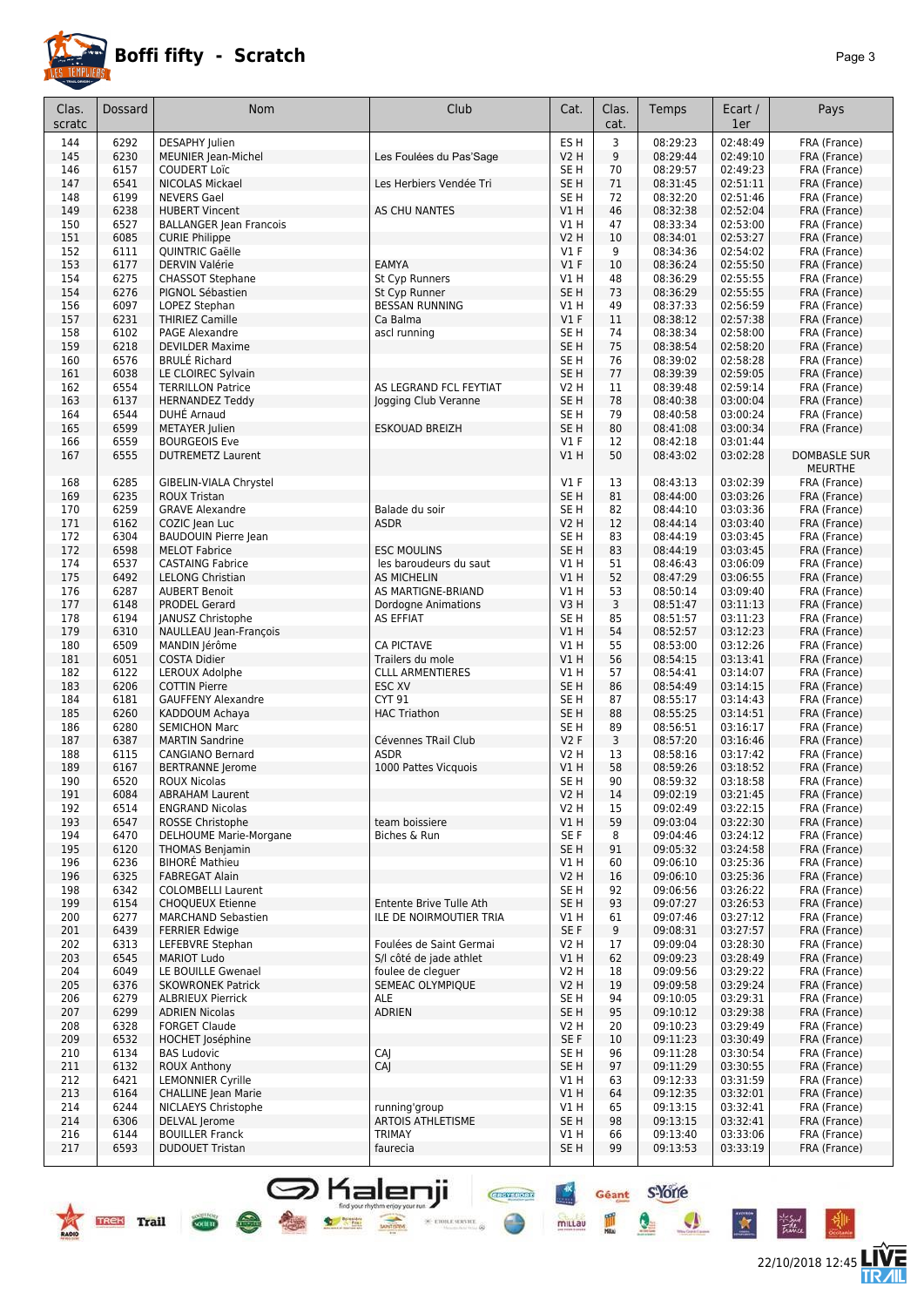

#### **Boffi fifty - Scratch** *Page 3*

| Clas.<br>scratc | Dossard      | Nom                                                     | Club                                         | Cat.                     | Clas.<br>cat. | Temps                | Ecart /<br>1er       | Pays                                  |
|-----------------|--------------|---------------------------------------------------------|----------------------------------------------|--------------------------|---------------|----------------------|----------------------|---------------------------------------|
| 144             | 6292         | <b>DESAPHY</b> Julien                                   |                                              | ES <sub>H</sub>          | 3             | 08:29:23             | 02:48:49             | FRA (France)                          |
| 145             | 6230         | MEUNIER Jean-Michel                                     | Les Foulées du Pas'Sage                      | <b>V2 H</b>              | 9             | 08:29:44             | 02:49:10             | FRA (France)                          |
| 146             | 6157         | <b>COUDERT Loïc</b>                                     |                                              | SE H                     | 70            | 08:29:57             | 02:49:23             | FRA (France)                          |
| 147             | 6541         | NICOLAS Mickael                                         | Les Herbiers Vendée Tri                      | SE <sub>H</sub>          | 71            | 08:31:45             | 02:51:11             | FRA (France)                          |
| 148             | 6199         | <b>NEVERS Gael</b>                                      |                                              | SE <sub>H</sub>          | 72            | 08:32:20             | 02:51:46             | FRA (France)                          |
| 149<br>150      | 6238<br>6527 | <b>HUBERT Vincent</b>                                   | AS CHU NANTES                                | V1H<br>V1H               | 46<br>47      | 08:32:38<br>08:33:34 | 02:52:04<br>02:53:00 | FRA (France)<br>FRA (France)          |
| 151             | 6085         | <b>BALLANGER Jean Francois</b><br><b>CURIE Philippe</b> |                                              | <b>V2 H</b>              | 10            | 08:34:01             | 02:53:27             | FRA (France)                          |
| 152             | 6111         | QUINTRIC Gaëlle                                         |                                              | $VI$ F                   | 9             | 08:34:36             | 02:54:02             | FRA (France)                          |
| 153             | 6177         | <b>DERVIN Valérie</b>                                   | EAMYA                                        | $VI$ F                   | 10            | 08:36:24             | 02:55:50             | FRA (France)                          |
| 154             | 6275         | <b>CHASSOT Stephane</b>                                 | St Cyp Runners                               | V1 H                     | 48            | 08:36:29             | 02:55:55             | FRA (France)                          |
| 154             | 6276         | PIGNOL Sébastien                                        | St Cyp Runner                                | SE <sub>H</sub>          | 73            | 08:36:29             | 02:55:55             | FRA (France)                          |
| 156             | 6097         | LOPEZ Stephan                                           | <b>BESSAN RUNNING</b>                        | V1 H                     | 49            | 08:37:33             | 02:56:59             | FRA (France)                          |
| 157             | 6231         | <b>THIRIEZ Camille</b>                                  | Ca Balma                                     | $VI$ F                   | 11            | 08:38:12             | 02:57:38             | FRA (France)                          |
| 158<br>159      | 6102<br>6218 | <b>PAGE Alexandre</b><br><b>DEVILDER Maxime</b>         | ascl running                                 | SE H<br>SE <sub>H</sub>  | 74<br>75      | 08:38:34<br>08:38:54 | 02:58:00<br>02:58:20 | FRA (France)<br>FRA (France)          |
| 160             | 6576         | <b>BRULE Richard</b>                                    |                                              | SE H                     | 76            | 08:39:02             | 02:58:28             | FRA (France)                          |
| 161             | 6038         | LE CLOIREC Sylvain                                      |                                              | SE <sub>H</sub>          | 77            | 08:39:39             | 02:59:05             | FRA (France)                          |
| 162             | 6554         | <b>TERRILLON Patrice</b>                                | AS LEGRAND FCL FEYTIAT                       | <b>V2 H</b>              | 11            | 08:39:48             | 02:59:14             | FRA (France)                          |
| 163             | 6137         | <b>HERNANDEZ Teddy</b>                                  | Jogging Club Veranne                         | SE <sub>H</sub>          | 78            | 08:40:38             | 03:00:04             | FRA (France)                          |
| 164             | 6544         | DUHE Arnaud                                             |                                              | SE <sub>H</sub>          | 79            | 08:40:58             | 03:00:24             | FRA (France)                          |
| 165             | 6599         | <b>METAYER</b> Julien                                   | <b>ESKOUAD BREIZH</b>                        | SE <sub>H</sub>          | 80            | 08:41:08             | 03:00:34             | FRA (France)                          |
| 166             | 6559         | <b>BOURGEOIS Eve</b>                                    |                                              | $VI$ F                   | 12            | 08:42:18             | 03:01:44             |                                       |
| 167             | 6555         | <b>DUTREMETZ Laurent</b>                                |                                              | VIH                      | 50            | 08:43:02             | 03:02:28             | <b>DOMBASLE SUR</b><br><b>MEURTHE</b> |
| 168             | 6285         | GIBELIN-VIALA Chrystel                                  |                                              | $VI$ F                   | 13            | 08:43:13             | 03:02:39             | FRA (France)                          |
| 169             | 6235         | <b>ROUX Tristan</b>                                     |                                              | SE <sub>H</sub>          | 81            | 08:44:00             | 03:03:26             | FRA (France)                          |
| 170             | 6259         | <b>GRAVE Alexandre</b>                                  | Balade du soir                               | SE H                     | 82            | 08:44:10             | 03:03:36             | FRA (France)                          |
| 171             | 6162         | COZIC Jean Luc                                          | ASDR                                         | V2 H                     | 12            | 08:44:14             | 03:03:40             | FRA (France)                          |
| 172             | 6304         | <b>BAUDOUIN Pierre Jean</b>                             |                                              | SE <sub>H</sub>          | 83            | 08:44:19             | 03:03:45             | FRA (France)                          |
| 172             | 6598<br>6537 | <b>MELOT Fabrice</b>                                    | <b>ESC MOULINS</b>                           | SE <sub>H</sub>          | 83            | 08:44:19             | 03:03:45<br>03:06:09 | FRA (France)                          |
| 174<br>175      | 6492         | <b>CASTAING Fabrice</b><br><b>LELONG Christian</b>      | les baroudeurs du saut<br><b>AS MICHELIN</b> | V1 H<br>V1H              | 51<br>52      | 08:46:43<br>08:47:29 | 03:06:55             | FRA (France)<br>FRA (France)          |
| 176             | 6287         | <b>AUBERT Benoit</b>                                    | AS MARTIGNE-BRIAND                           | V1 H                     | 53            | 08:50:14             | 03:09:40             | FRA (France)                          |
| 177             | 6148         | <b>PRODEL Gerard</b>                                    | Dordogne Animations                          | V3H                      | 3             | 08:51:47             | 03:11:13             | FRA (France)                          |
| 178             | 6194         | JANUSZ Christophe                                       | <b>AS EFFIAT</b>                             | SE <sub>H</sub>          | 85            | 08:51:57             | 03:11:23             | FRA (France)                          |
| 179             | 6310         | NAULLEAU Jean-François                                  |                                              | VIH                      | 54            | 08:52:57             | 03:12:23             | FRA (France)                          |
| 180             | 6509         | MANDIN Jérôme                                           | <b>CA PICTAVE</b>                            | V1 H                     | 55            | 08:53:00             | 03:12:26             | FRA (France)                          |
| 181             | 6051         | <b>COSTA Didier</b>                                     | Trailers du mole                             | VIH                      | 56            | 08:54:15             | 03:13:41             | FRA (France)                          |
| 182<br>183      | 6122<br>6206 | LEROUX Adolphe<br><b>COTTIN Pierre</b>                  | <b>CLLL ARMENTIERES</b><br>ESC XV            | V1 H<br>SE <sub>H</sub>  | 57<br>86      | 08:54:41<br>08:54:49 | 03:14:07<br>03:14:15 | FRA (France)<br>FRA (France)          |
| 184             | 6181         | <b>GAUFFENY Alexandre</b>                               | CYT 91                                       | SE <sub>H</sub>          | 87            | 08:55:17             | 03:14:43             | FRA (France)                          |
| 185             | 6260         | KADDOUM Achaya                                          | <b>HAC Triathon</b>                          | SE <sub>H</sub>          | 88            | 08:55:25             | 03:14:51             | FRA (France)                          |
| 186             | 6280         | <b>SEMICHON Marc</b>                                    |                                              | SE H                     | 89            | 08:56:51             | 03:16:17             | FRA (France)                          |
| 187             | 6387         | <b>MARTIN Sandrine</b>                                  | Cévennes TRail Club                          | V2F                      | 3             | 08:57:20             | 03:16:46             | FRA (France)                          |
| 188             | 6115         | <b>CANGIANO Bernard</b>                                 | <b>ASDR</b>                                  | V2 H                     | 13            | 08:58:16             | 03:17:42             | FRA (France)                          |
| 189             | 6167         | <b>BERTRANNE</b> Jerome                                 | 1000 Pattes Vicquois                         | V1 H                     | 58            | 08:59:26             | 03:18:52             | FRA (France)                          |
| 190<br>191      | 6520<br>6084 | <b>ROUX Nicolas</b><br><b>ABRAHAM Laurent</b>           |                                              | SE H<br>V <sub>2</sub> H | 90<br>14      | 08:59:32<br>09:02:19 | 03:18:58<br>03:21:45 | FRA (France)<br>FRA (France)          |
| 192             | 6514         | <b>ENGRAND Nicolas</b>                                  |                                              | V2 H                     | 15            | 09:02:49             | 03:22:15             | FRA (France)                          |
| 193             | 6547         | ROSSE Christophe                                        | team boissiere                               | V1 H                     | 59            | 09:03:04             | 03:22:30             | FRA (France)                          |
| 194             | 6470         | DELHOUME Marie-Morgane                                  | Biches & Run                                 | SE F                     | 8             | 09:04:46             | 03:24:12             | FRA (France)                          |
| 195             | 6120         | <b>THOMAS Benjamin</b>                                  |                                              | SE H                     | 91            | 09:05:32             | 03:24:58             | FRA (France)                          |
| 196             | 6236         | <b>BIHORÉ Mathieu</b>                                   |                                              | V1 H                     | 60            | 09:06:10             | 03:25:36             | FRA (France)                          |
| 196             | 6325         | <b>FABREGAT Alain</b>                                   |                                              | <b>V2 H</b>              | 16            | 09:06:10             | 03:25:36             | FRA (France)                          |
| 198<br>199      | 6342<br>6154 | <b>COLOMBELLI Laurent</b><br><b>CHOQUEUX Etienne</b>    | Entente Brive Tulle Ath                      | SE H<br>SE <sub>H</sub>  | 92<br>93      | 09:06:56<br>09:07:27 | 03:26:22<br>03:26:53 | FRA (France)<br>FRA (France)          |
| 200             | 6277         | <b>MARCHAND Sebastien</b>                               | ILE DE NOIRMOUTIER TRIA                      | V1 H                     | 61            | 09:07:46             | 03:27:12             | FRA (France)                          |
| 201             | 6439         | <b>FERRIER Edwige</b>                                   |                                              | SE F                     | 9             | 09:08:31             | 03:27:57             | FRA (France)                          |
| 202             | 6313         | LEFEBVRE Stephan                                        | Foulées de Saint Germai                      | V2 H                     | 17            | 09:09:04             | 03:28:30             | FRA (France)                          |
| 203             | 6545         | <b>MARIOT Ludo</b>                                      | S/I côté de jade athlet                      | V1H                      | 62            | 09:09:23             | 03:28:49             | FRA (France)                          |
| 204             | 6049         | LE BOUILLE Gwenael                                      | foulee de clequer                            | V2 H                     | 18            | 09:09:56             | 03:29:22             | FRA (France)                          |
| 205             | 6376         | <b>SKOWRONEK Patrick</b>                                | <b>SEMEAC OLYMPIOUE</b>                      | <b>V2 H</b>              | 19            | 09:09:58             | 03:29:24             | FRA (France)                          |
| 206             | 6279         | <b>ALBRIEUX Pierrick</b>                                | ALE                                          | SE H                     | 94            | 09:10:05             | 03:29:31             | FRA (France)                          |
| 207<br>208      | 6299<br>6328 | <b>ADRIEN Nicolas</b><br><b>FORGET Claude</b>           | <b>ADRIEN</b>                                | SE <sub>H</sub><br>V2 H  | 95<br>20      | 09:10:12<br>09:10:23 | 03:29:38<br>03:29:49 | FRA (France)<br>FRA (France)          |
| 209             | 6532         | <b>HOCHET Joséphine</b>                                 |                                              | SE F                     | 10            | 09:11:23             | 03:30:49             | FRA (France)                          |
| 210             | 6134         | <b>BAS Ludovic</b>                                      | CAJ                                          | SE H                     | 96            | 09:11:28             | 03:30:54             | FRA (France)                          |
| 211             | 6132         | ROUX Anthony                                            | CAJ                                          | SE <sub>H</sub>          | 97            | 09:11:29             | 03:30:55             | FRA (France)                          |
| 212             | 6421         | <b>LEMONNIER Cyrille</b>                                |                                              | V1 H                     | 63            | 09:12:33             | 03:31:59             | FRA (France)                          |
| 213             | 6164         | <b>CHALLINE</b> Jean Marie                              |                                              | V1H                      | 64            | 09:12:35             | 03:32:01             | FRA (France)                          |
| 214             | 6244         | NICLAEYS Christophe                                     | running'group                                | V1 H                     | 65            | 09:13:15             | 03:32:41             | FRA (France)                          |
| 214<br>216      | 6306<br>6144 | DELVAL Jerome<br><b>BOUILLER Franck</b>                 | <b>ARTOIS ATHLETISME</b><br><b>TRIMAY</b>    | SE H<br>V1 H             | 98<br>66      | 09:13:15<br>09:13:40 | 03:32:41<br>03:33:06 | FRA (France)<br>FRA (France)          |
| 217             | 6593         | <b>DUDOUET Tristan</b>                                  | faurecia                                     | SE H                     | 99            | 09:13:53             | 03:33:19             | FRA (France)                          |
|                 |              |                                                         |                                              |                          |               |                      |                      |                                       |

**Salenji** 

 $\times$  etoile service

 $\frac{1}{\sqrt{1-\frac{1}{2}}\sqrt{1-\frac{1}{2}}\sqrt{1-\frac{1}{2}}\sqrt{1-\frac{1}{2}}\sqrt{1-\frac{1}{2}}\sqrt{1-\frac{1}{2}}\sqrt{1-\frac{1}{2}}\sqrt{1-\frac{1}{2}}\sqrt{1-\frac{1}{2}}\sqrt{1-\frac{1}{2}}\sqrt{1-\frac{1}{2}}\sqrt{1-\frac{1}{2}}\sqrt{1-\frac{1}{2}}\sqrt{1-\frac{1}{2}}\sqrt{1-\frac{1}{2}}\sqrt{1-\frac{1}{2}}\sqrt{1-\frac{1}{2}}\sqrt{1-\frac{1}{2}}\sqrt{1-\frac{1}{2}}\sqrt{1-\frac$ 

 $\bullet$  set





°₩

Géant S'Yorre

 $\bullet$ 

 $\bullet$ 

 $\mathbf{\hat{z}}$ 

mittau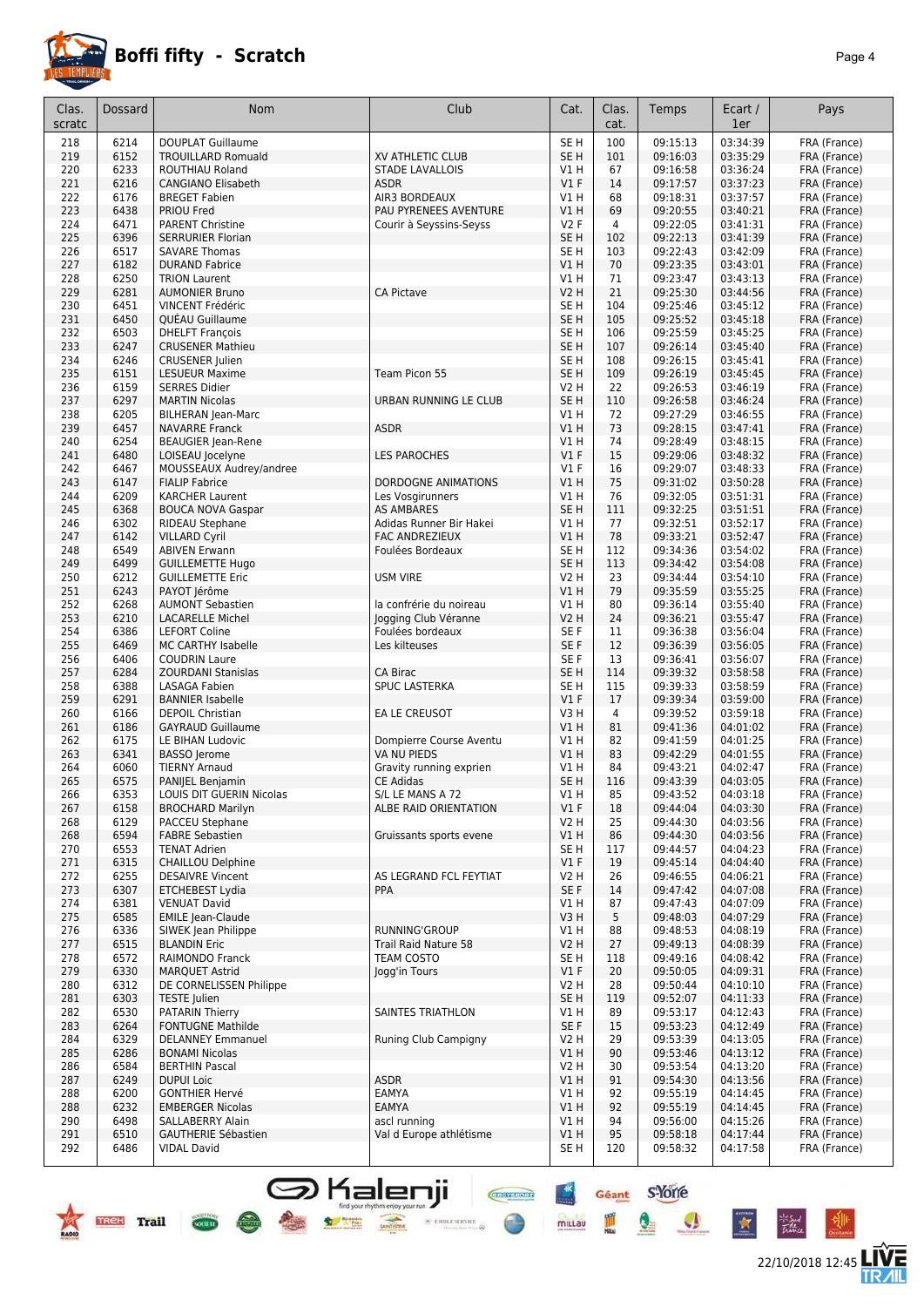

#### **Boffi fifty - Scratch** *Page 4*

22/10/2018 12:45 **LIVE** 

Géant S-Yone

Q

 $\bullet$ 

**CHOY RON** 

 $\frac{1}{\sqrt{2}}$  etoile service  $\frac{1}{\sqrt{2}}$ 

 $+<sup>x</sup>$ 

mittau

皿

| Clas.      | Dossard      | <b>Nom</b>                                           | Club                                         | Cat.                    | Clas.     | Temps                | Ecart /              | Pays                         |
|------------|--------------|------------------------------------------------------|----------------------------------------------|-------------------------|-----------|----------------------|----------------------|------------------------------|
| scratc     |              |                                                      |                                              |                         | cat.      |                      | 1er                  |                              |
| 218        | 6214         | <b>DOUPLAT Guillaume</b>                             |                                              | SE <sub>H</sub>         | 100       | 09:15:13             | 03:34:39             | FRA (France)                 |
| 219        | 6152         | <b>TROUILLARD Romuald</b>                            | XV ATHLETIC CLUB                             | SE H                    | 101       | 09:16:03             | 03:35:29             | FRA (France)                 |
| 220        | 6233         | ROUTHIAU Roland                                      | STADE LAVALLOIS                              | V1 H                    | 67        | 09:16:58             | 03:36:24             | FRA (France)                 |
| 221<br>222 | 6216<br>6176 | <b>CANGIANO Elisabeth</b><br><b>BREGET Fabien</b>    | <b>ASDR</b><br>AIR3 BORDEAUX                 | $VI$ F<br>VIH           | 14<br>68  | 09:17:57<br>09:18:31 | 03:37:23<br>03:37:57 | FRA (France)<br>FRA (France) |
| 223        | 6438         | <b>PRIOU Fred</b>                                    | PAU PYRENEES AVENTURE                        | V1 H                    | 69        | 09:20:55             | 03:40:21             | FRA (France)                 |
| 224        | 6471         | <b>PARENT Christine</b>                              | Courir à Seyssins-Seyss                      | <b>V2F</b>              | 4         | 09:22:05             | 03:41:31             | FRA (France)                 |
| 225        | 6396         | <b>SERRURIER Florian</b>                             |                                              | SE H                    | 102       | 09:22:13             | 03:41:39             | FRA (France)                 |
| 226        | 6517         | <b>SAVARE Thomas</b>                                 |                                              | SE <sub>H</sub>         | 103       | 09:22:43             | 03:42:09             | FRA (France)                 |
| 227        | 6182         | <b>DURAND Fabrice</b>                                |                                              | V1H                     | 70        | 09:23:35             | 03:43:01             | FRA (France)                 |
| 228        | 6250         | <b>TRION Laurent</b>                                 | <b>CA Pictave</b>                            | V1 H                    | 71        | 09:23:47             | 03:43:13             | FRA (France)                 |
| 229<br>230 | 6281<br>6451 | <b>AUMONIER Bruno</b><br>VINCENT Frédéric            |                                              | V2 H<br>SE H            | 21<br>104 | 09:25:30<br>09:25:46 | 03:44:56<br>03:45:12 | FRA (France)<br>FRA (France) |
| 231        | 6450         | QUEAU Guillaume                                      |                                              | SE H                    | 105       | 09:25:52             | 03:45:18             | FRA (France)                 |
| 232        | 6503         | <b>DHELFT François</b>                               |                                              | SE <sub>H</sub>         | 106       | 09:25:59             | 03:45:25             | FRA (France)                 |
| 233        | 6247         | <b>CRUSENER Mathieu</b>                              |                                              | SE <sub>H</sub>         | 107       | 09:26:14             | 03:45:40             | FRA (France)                 |
| 234        | 6246         | <b>CRUSENER Julien</b>                               |                                              | SE <sub>H</sub>         | 108       | 09:26:15             | 03:45:41             | FRA (France)                 |
| 235        | 6151         | <b>LESUEUR Maxime</b>                                | Team Picon 55                                | SE <sub>H</sub>         | 109       | 09:26:19             | 03:45:45             | FRA (France)                 |
| 236        | 6159         | <b>SERRES Didier</b><br><b>MARTIN Nicolas</b>        | URBAN RUNNING LE CLUB                        | V2 H<br>SE <sub>H</sub> | 22        | 09:26:53             | 03:46:19<br>03:46:24 | FRA (France)                 |
| 237<br>238 | 6297<br>6205 | <b>BILHERAN Jean-Marc</b>                            |                                              | V1 H                    | 110<br>72 | 09:26:58<br>09:27:29 | 03:46:55             | FRA (France)<br>FRA (France) |
| 239        | 6457         | <b>NAVARRE Franck</b>                                | <b>ASDR</b>                                  | V1H                     | 73        | 09:28:15             | 03:47:41             | FRA (France)                 |
| 240        | 6254         | <b>BEAUGIER Jean-Rene</b>                            |                                              | V1 H                    | 74        | 09:28:49             | 03:48:15             | FRA (France)                 |
| 241        | 6480         | LOISEAU Jocelyne                                     | <b>LES PAROCHES</b>                          | $VI$ F                  | 15        | 09:29:06             | 03:48:32             | FRA (France)                 |
| 242        | 6467         | MOUSSEAUX Audrey/andree                              |                                              | $VI$ F                  | 16        | 09:29:07             | 03:48:33             | FRA (France)                 |
| 243        | 6147         | <b>FIALIP Fabrice</b>                                | DORDOGNE ANIMATIONS                          | VIH                     | 75        | 09:31:02             | 03:50:28             | FRA (France)                 |
| 244        | 6209         | <b>KARCHER Laurent</b>                               | Les Vosgirunners                             | VIH                     | 76        | 09:32:05             | 03:51:31             | FRA (France)                 |
| 245<br>246 | 6368<br>6302 | <b>BOUCA NOVA Gaspar</b><br>RIDEAU Stephane          | <b>AS AMBARES</b><br>Adidas Runner Bir Hakei | SE <sub>H</sub><br>V1 H | 111<br>77 | 09:32:25<br>09:32:51 | 03:51:51<br>03:52:17 | FRA (France)<br>FRA (France) |
| 247        | 6142         | <b>VILLARD Cyril</b>                                 | <b>FAC ANDREZIEUX</b>                        | VIH                     | 78        | 09:33:21             | 03:52:47             | FRA (France)                 |
| 248        | 6549         | <b>ABIVEN Erwann</b>                                 | Foulées Bordeaux                             | SE <sub>H</sub>         | 112       | 09:34:36             | 03:54:02             | FRA (France)                 |
| 249        | 6499         | <b>GUILLEMETTE Hugo</b>                              |                                              | SE <sub>H</sub>         | 113       | 09:34:42             | 03:54:08             | FRA (France)                 |
| 250        | 6212         | <b>GUILLEMETTE Eric</b>                              | <b>USM VIRE</b>                              | V2 H                    | 23        | 09:34:44             | 03:54:10             | FRA (France)                 |
| 251        | 6243         | PAYOT Jérôme                                         |                                              | V1 H                    | 79        | 09:35:59             | 03:55:25             | FRA (France)                 |
| 252<br>253 | 6268<br>6210 | <b>AUMONT Sebastien</b><br><b>LACARELLE Michel</b>   | la confrérie du noireau                      | V1 H<br>V2 H            | 80<br>24  | 09:36:14<br>09:36:21 | 03:55:40<br>03:55:47 | FRA (France)<br>FRA (France) |
| 254        | 6386         | <b>LEFORT Coline</b>                                 | Jogging Club Véranne<br>Foulées bordeaux     | SE F                    | 11        | 09:36:38             | 03:56:04             | FRA (France)                 |
| 255        | 6469         | MC CARTHY Isabelle                                   | Les kilteuses                                | SE F                    | 12        | 09:36:39             | 03:56:05             | FRA (France)                 |
| 256        | 6406         | <b>COUDRIN Laure</b>                                 |                                              | SE F                    | 13        | 09:36:41             | 03:56:07             | FRA (France)                 |
| 257        | 6284         | <b>ZOURDANI Stanislas</b>                            | CA Birac                                     | SE <sub>H</sub>         | 114       | 09:39:32             | 03:58:58             | FRA (France)                 |
| 258        | 6388         | <b>LASAGA Fabien</b>                                 | <b>SPUC LASTERKA</b>                         | SE H                    | 115       | 09:39:33             | 03:58:59             | FRA (France)                 |
| 259        | 6291         | <b>BANNIER Isabelle</b>                              |                                              | V1F                     | 17        | 09:39:34             | 03:59:00             | FRA (France)                 |
| 260<br>261 | 6166<br>6186 | <b>DEPOIL Christian</b><br><b>GAYRAUD Guillaume</b>  | EA LE CREUSOT                                | V3 H<br>V1 H            | 4<br>81   | 09:39:52<br>09:41:36 | 03:59:18<br>04:01:02 | FRA (France)<br>FRA (France) |
| 262        | 6175         | LE BIHAN Ludovic                                     | Dompierre Course Aventu                      | V1 H                    | 82        | 09:41:59             | 04:01:25             | FRA (France)                 |
| 263        | 6341         | <b>BASSO</b> Jerome                                  | VA NU PIEDS                                  | <b>V1 H</b>             | 83        | 09:42:29             | 04:01:55             | FRA (France)                 |
| 264        | 6060         | <b>TIERNY Arnaud</b>                                 | Gravity running exprien                      | VIH                     | 84        | 09:43:21             | 04:02:47             | FRA (France)                 |
| 265        | 6575         | PANIJEL Benjamin                                     | <b>CE Adidas</b>                             | SE <sub>H</sub>         | 116       | 09:43:39             | 04:03:05             | FRA (France)                 |
| 266        | 6353         | LOUIS DIT GUERIN Nicolas                             | S/L LE MANS A 72                             | V1 H                    | 85        | 09:43:52             | 04:03:18             | FRA (France)                 |
| 267<br>268 | 6158<br>6129 | <b>BROCHARD Marilyn</b><br><b>PACCEU Stephane</b>    | ALBE RAID ORIENTATION                        | $VI$ F<br>V2 H          | 18<br>25  | 09:44:04<br>09:44:30 | 04:03:30<br>04:03:56 | FRA (France)<br>FRA (France) |
| 268        | 6594         | <b>FABRE Sebastien</b>                               | Gruissants sports evene                      | V1 H                    | 86        | 09:44:30             | 04:03:56             | FRA (France)                 |
| 270        | 6553         | <b>TENAT Adrien</b>                                  |                                              | SE <sub>H</sub>         | 117       | 09:44:57             | 04:04:23             | FRA (France)                 |
| 271        | 6315         | <b>CHAILLOU Delphine</b>                             |                                              | V1F                     | 19        | 09:45:14             | 04:04:40             | FRA (France)                 |
| 272        | 6255         | <b>DESAIVRE Vincent</b>                              | AS LEGRAND FCL FEYTIAT                       | V2 H                    | 26        | 09:46:55             | 04:06:21             | FRA (France)                 |
| 273        | 6307         | <b>ETCHEBEST Lydia</b>                               | PPA                                          | SE F                    | 14        | 09:47:42             | 04:07:08             | FRA (France)                 |
| 274        | 6381         | <b>VENUAT David</b>                                  |                                              | V1 H                    | 87        | 09:47:43             | 04:07:09             | FRA (France)                 |
| 275<br>276 | 6585<br>6336 | <b>EMILE Jean-Claude</b><br>SIWEK Jean Philippe      | RUNNING'GROUP                                | V3 H<br>V1 H            | 5<br>88   | 09:48:03<br>09:48:53 | 04:07:29<br>04:08:19 | FRA (France)<br>FRA (France) |
| 277        | 6515         | <b>BLANDIN Eric</b>                                  | <b>Trail Raid Nature 58</b>                  | <b>V2 H</b>             | 27        | 09:49:13             | 04:08:39             | FRA (France)                 |
| 278        | 6572         | <b>RAIMONDO Franck</b>                               | <b>TEAM COSTO</b>                            | SE H                    | 118       | 09:49:16             | 04:08:42             | FRA (France)                 |
| 279        | 6330         | <b>MAROUET Astrid</b>                                | Jogg'in Tours                                | $VI$ F                  | 20        | 09:50:05             | 04:09:31             | FRA (France)                 |
| 280        | 6312         | DE CORNELISSEN Philippe                              |                                              | V <sub>2</sub> H        | 28        | 09:50:44             | 04:10:10             | FRA (France)                 |
| 281        | 6303         | <b>TESTE</b> Julien                                  |                                              | SE H                    | 119       | 09:52:07             | 04:11:33             | FRA (France)                 |
| 282        | 6530         | <b>PATARIN Thierry</b>                               | SAINTES TRIATHLON                            | V1 H                    | 89        | 09:53:17             | 04:12:43             | FRA (France)                 |
| 283<br>284 | 6264<br>6329 | <b>FONTUGNE Mathilde</b><br><b>DELANNEY Emmanuel</b> | Runing Club Campigny                         | SE F<br>V2 H            | 15<br>29  | 09:53:23<br>09:53:39 | 04:12:49<br>04:13:05 | FRA (France)<br>FRA (France) |
| 285        | 6286         | <b>BONAMI Nicolas</b>                                |                                              | V1H                     | 90        | 09:53:46             | 04:13:12             | FRA (France)                 |
| 286        | 6584         | <b>BERTHIN Pascal</b>                                |                                              | V2 H                    | 30        | 09:53:54             | 04:13:20             | FRA (France)                 |
| 287        | 6249         | <b>DUPUI Loic</b>                                    | <b>ASDR</b>                                  | V1 H                    | 91        | 09:54:30             | 04:13:56             | FRA (France)                 |
| 288        | 6200         | <b>GONTHIER Hervé</b>                                | EAMYA                                        | V1 H                    | 92        | 09:55:19             | 04:14:45             | FRA (France)                 |
| 288        | 6232         | <b>EMBERGER Nicolas</b>                              | EAMYA                                        | VIH                     | 92        | 09:55:19             | 04:14:45             | FRA (France)                 |
| 290        | 6498         | SALLABERRY Alain                                     | ascl running                                 | VIH                     | 94        | 09:56:00             | 04:15:26             | FRA (France)                 |
| 291<br>292 | 6510<br>6486 | <b>GAUTHERIE Sébastien</b><br><b>VIDAL David</b>     | Val d Europe athlétisme                      | V1H<br>SE H             | 95<br>120 | 09:58:18<br>09:58:32 | 04:17:44<br>04:17:58 | FRA (France)<br>FRA (France) |
|            |              |                                                      |                                              |                         |           |                      |                      |                              |

**S** Kalenji

 $\bullet$  see

4 1

 $\frac{1}{\sqrt{2}}$ 

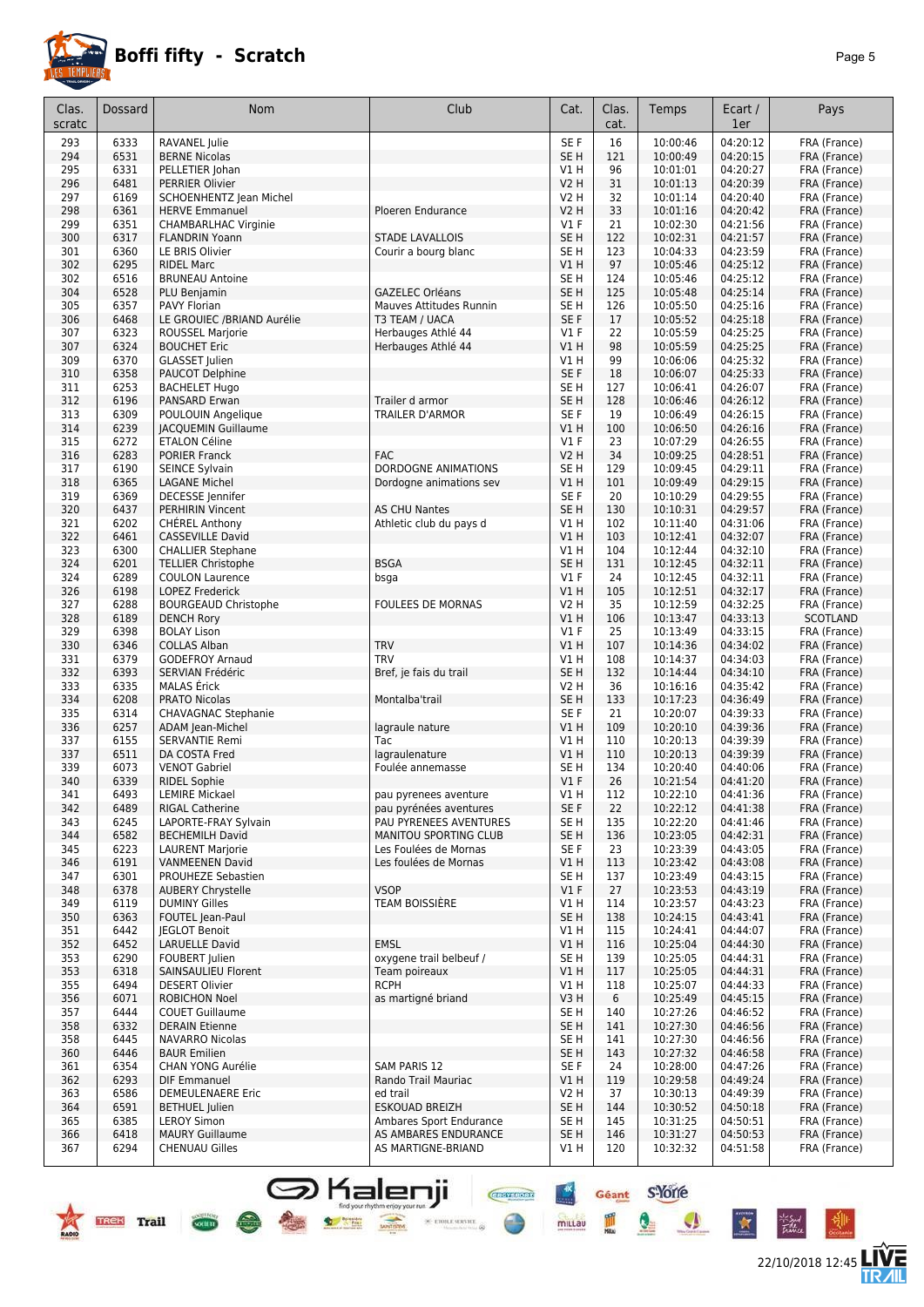

## **Boffi fifty - Scratch** *Page 5*

| Clas.      | Dossard      | Nom                                               | Club                                           | Cat.            | Clas.      | Temps                | Ecart /              | Pays                         |
|------------|--------------|---------------------------------------------------|------------------------------------------------|-----------------|------------|----------------------|----------------------|------------------------------|
| scratc     |              |                                                   |                                                |                 | cat.       |                      | 1er                  |                              |
| 293        | 6333         | RAVANEL Julie                                     |                                                | SE F            | 16         | 10:00:46             | 04:20:12             | FRA (France)                 |
| 294        | 6531         | <b>BERNE Nicolas</b>                              |                                                | SE <sub>H</sub> | 121        | 10:00:49             | 04:20:15             | FRA (France)                 |
| 295        | 6331         | PELLETIER Johan                                   |                                                | V1 H            | 96         | 10:01:01             | 04:20:27             | FRA (France)                 |
| 296        | 6481         | PERRIER Olivier                                   |                                                | <b>V2 H</b>     | 31         | 10:01:13             | 04:20:39             | FRA (France)                 |
| 297        | 6169         | SCHOENHENTZ Jean Michel                           |                                                | V2 H            | 32         | 10:01:14             | 04:20:40             | FRA (France)                 |
| 298        | 6361         | <b>HERVE Emmanuel</b>                             | Ploeren Endurance                              | <b>V2 H</b>     | 33         | 10:01:16             | 04:20:42             | FRA (France)                 |
| 299        | 6351         | <b>CHAMBARLHAC Virginie</b>                       |                                                | $VI$ F          | 21         | 10:02:30             | 04:21:56             | FRA (France)                 |
| 300        | 6317         | <b>FLANDRIN Yoann</b>                             | <b>STADE LAVALLOIS</b>                         | SE <sub>H</sub> | 122        | 10:02:31             | 04:21:57             | FRA (France)                 |
| 301        | 6360         | LE BRIS Olivier                                   | Courir a bourg blanc                           | SE H            | 123        | 10:04:33             | 04:23:59             | FRA (France)                 |
| 302        | 6295         | <b>RIDEL Marc</b>                                 |                                                | V1 H            | 97         | 10:05:46             | 04:25:12             | FRA (France)                 |
| 302        | 6516         | <b>BRUNEAU Antoine</b>                            |                                                | SE H            | 124        | 10:05:46             | 04:25:12             | FRA (France)                 |
| 304        | 6528         | PLU Benjamin                                      | <b>GAZELEC Orléans</b>                         | SE <sub>H</sub> | 125        | 10:05:48             | 04:25:14             | FRA (France)                 |
| 305        | 6357         | PAVY Florian                                      | Mauves Attitudes Runnin                        | SE <sub>H</sub> | 126        | 10:05:50             | 04:25:16             | FRA (France)                 |
| 306<br>307 | 6468         | LE GROUIEC /BRIAND Aurélie                        | T3 TEAM / UACA                                 | SE F<br>$VI$ F  | 17<br>22   | 10:05:52<br>10:05:59 | 04:25:18<br>04:25:25 | FRA (France)                 |
| 307        | 6323<br>6324 | ROUSSEL Marjorie<br><b>BOUCHET Eric</b>           | Herbauges Athlé 44<br>Herbauges Athlé 44       | VIH             | 98         | 10:05:59             | 04:25:25             | FRA (France)<br>FRA (France) |
| 309        | 6370         | <b>GLASSET</b> Julien                             |                                                | V1 H            | 99         | 10:06:06             | 04:25:32             | FRA (France)                 |
| 310        | 6358         | PAUCOT Delphine                                   |                                                | SE F            | 18         | 10:06:07             | 04:25:33             | FRA (France)                 |
| 311        | 6253         | <b>BACHELET Hugo</b>                              |                                                | SE <sub>H</sub> | 127        | 10:06:41             | 04:26:07             | FRA (France)                 |
| 312        | 6196         | PANSARD Erwan                                     | Trailer d armor                                | SE <sub>H</sub> | 128        | 10:06:46             | 04:26:12             | FRA (France)                 |
| 313        | 6309         | POULOUIN Angelique                                | <b>TRAILER D'ARMOR</b>                         | SE F            | 19         | 10:06:49             | 04:26:15             | FRA (France)                 |
| 314        | 6239         | <b>JACQUEMIN Guillaume</b>                        |                                                | V1 H            | 100        | 10:06:50             | 04:26:16             | FRA (France)                 |
| 315        | 6272         | <b>ETALON Céline</b>                              |                                                | $VI$ F          | 23         | 10:07:29             | 04:26:55             | FRA (France)                 |
| 316        | 6283         | <b>PORIER Franck</b>                              | <b>FAC</b>                                     | <b>V2 H</b>     | 34         | 10:09:25             | 04:28:51             | FRA (France)                 |
| 317        | 6190         | SEINCE Sylvain                                    | DORDOGNE ANIMATIONS                            | SE <sub>H</sub> | 129        | 10:09:45             | 04:29:11             | FRA (France)                 |
| 318        | 6365         | <b>LAGANE Michel</b>                              | Dordogne animations sev                        | V1H             | 101        | 10:09:49             | 04:29:15             | FRA (France)                 |
| 319        | 6369         | DECESSE Jennifer                                  |                                                | SE F            | 20         | 10:10:29             | 04:29:55             | FRA (France)                 |
| 320        | 6437         | <b>PERHIRIN Vincent</b>                           | <b>AS CHU Nantes</b>                           | SE <sub>H</sub> | 130        | 10:10:31             | 04:29:57             | FRA (France)                 |
| 321        | 6202         | <b>CHEREL Anthony</b>                             | Athletic club du pays d                        | V1 H            | 102        | 10:11:40             | 04:31:06             | FRA (France)                 |
| 322        | 6461         | CASSEVILLE David                                  |                                                | V1H             | 103        | 10:12:41             | 04:32:07             | FRA (France)                 |
| 323        | 6300         | <b>CHALLIER Stephane</b>                          |                                                | V1H             | 104        | 10:12:44             | 04:32:10             | FRA (France)                 |
| 324        | 6201         | <b>TELLIER Christophe</b>                         | <b>BSGA</b>                                    | SE <sub>H</sub> | 131        | 10:12:45             | 04:32:11             | FRA (France)                 |
| 324        | 6289         | <b>COULON Laurence</b>                            | bsga                                           | $VI$ F          | 24         | 10:12:45             | 04:32:11             | FRA (France)                 |
| 326        | 6198         | LOPEZ Frederick                                   |                                                | V1 H            | 105        | 10:12:51             | 04:32:17             | FRA (France)                 |
| 327        | 6288         | <b>BOURGEAUD Christophe</b>                       | <b>FOULEES DE MORNAS</b>                       | V2 H            | 35         | 10:12:59             | 04:32:25             | FRA (France)                 |
| 328        | 6189         | <b>DENCH Rory</b>                                 |                                                | $VI$ H          | 106        | 10:13:47             | 04:33:13             | SCOTLAND                     |
| 329<br>330 | 6398<br>6346 | <b>BOLAY Lison</b><br><b>COLLAS Alban</b>         | <b>TRV</b>                                     | $VI$ F<br>V1H   | 25<br>107  | 10:13:49             | 04:33:15<br>04:34:02 | FRA (France)                 |
| 331        | 6379         | <b>GODEFROY Arnaud</b>                            | <b>TRV</b>                                     | V1 H            | 108        | 10:14:36<br>10:14:37 | 04:34:03             | FRA (France)<br>FRA (France) |
| 332        | 6393         | SERVIAN Frédéric                                  | Bref, je fais du trail                         | SE <sub>H</sub> | 132        | 10:14:44             | 04:34:10             | FRA (France)                 |
| 333        | 6335         | <b>MALAS</b> Érick                                |                                                | V2 H            | 36         | 10:16:16             | 04:35:42             | FRA (France)                 |
| 334        | 6208         | <b>PRATO Nicolas</b>                              | Montalba'trail                                 | SE <sub>H</sub> | 133        | 10:17:23             | 04:36:49             | FRA (France)                 |
| 335        | 6314         | <b>CHAVAGNAC Stephanie</b>                        |                                                | SE F            | 21         | 10:20:07             | 04:39:33             | FRA (France)                 |
| 336        | 6257         | ADAM Jean-Michel                                  | lagraule nature                                | VIH             | 109        | 10:20:10             | 04:39:36             | FRA (France)                 |
| 337        | 6155         | SERVANTIE Remi                                    | <b>Tac</b>                                     | V1 H            | 110        | 10:20:13             | 04:39:39             | FRA (France)                 |
| 337        | 6511         | DA COSTA Fred                                     | lagraulenature                                 | VIH             | 110        | 10:20:13             | 04:39:39             | FRA (France)                 |
| 339        | 6073         | <b>VENOT Gabriel</b>                              | Foulée annemasse                               | SE H            | 134        | 10:20:40             | 04:40:06             | FRA (France)                 |
| 340        | 6339         | <b>RIDEL Sophie</b>                               |                                                | $VI$ F          | 26         | 10:21:54             | 04:41:20             | FRA (France)                 |
| 341        | 6493         | <b>LEMIRE Mickael</b>                             | pau pyrenees aventure                          | VIH             | 112        | 10:22:10             | 04:41:36             | FRA (France)                 |
| 342        | 6489         | <b>RIGAL Catherine</b>                            | pau pyrénées aventures                         | SE F            | 22         | 10:22:12             | 04:41:38             | FRA (France)                 |
| 343        | 6245         | LAPORTE-FRAY Sylvain                              | PAU PYRENEES AVENTURES                         | SE H            | 135        | 10:22:20             | 04:41:46             | FRA (France)                 |
| 344        | 6582         | <b>BECHEMILH David</b>                            | MANITOU SPORTING CLUB                          | SE H            | 136        | 10:23:05             | 04:42:31             | FRA (France)                 |
| 345        | 6223<br>6191 | <b>LAURENT Marjorie</b><br><b>VANMEENEN David</b> | Les Foulées de Mornas<br>Les foulées de Mornas | SE F            | 23         | 10:23:39             | 04:43:05<br>04:43:08 | FRA (France)                 |
| 346<br>347 | 6301         | PROUHEZE Sebastien                                |                                                | V1H<br>SE H     | 113<br>137 | 10:23:42<br>10:23:49 | 04:43:15             | FRA (France)<br>FRA (France) |
| 348        | 6378         | <b>AUBERY Chrystelle</b>                          | <b>VSOP</b>                                    | $VI$ F          | 27         | 10:23:53             | 04:43:19             | FRA (France)                 |
| 349        | 6119         | <b>DUMINY Gilles</b>                              | <b>TEAM BOISSIÈRE</b>                          | V1 H            | 114        | 10:23:57             | 04:43:23             | FRA (France)                 |
| 350        | 6363         | FOUTEL Jean-Paul                                  |                                                | SE H            | 138        | 10:24:15             | 04:43:41             | FRA (France)                 |
| 351        | 6442         | <b>JEGLOT Benoit</b>                              |                                                | V1 H            | 115        | 10:24:41             | 04:44:07             | FRA (France)                 |
| 352        | 6452         | <b>LARUELLE David</b>                             | <b>EMSL</b>                                    | V1H             | 116        | 10:25:04             | 04:44:30             | FRA (France)                 |
| 353        | 6290         | FOUBERT Julien                                    | oxygene trail belbeuf /                        | SE H            | 139        | 10:25:05             | 04:44:31             | FRA (France)                 |
| 353        | 6318         | SAINSAULIEU Florent                               | Team poireaux                                  | V1H             | 117        | 10:25:05             | 04:44:31             | FRA (France)                 |
| 355        | 6494         | <b>DESERT Olivier</b>                             | <b>RCPH</b>                                    | V1 H            | 118        | 10:25:07             | 04:44:33             | FRA (France)                 |
| 356        | 6071         | <b>ROBICHON Noel</b>                              | as martigné briand                             | V3H             | 6          | 10:25:49             | 04:45:15             | FRA (France)                 |
| 357        | 6444         | <b>COUET Guillaume</b>                            |                                                | SE H            | 140        | 10:27:26             | 04:46:52             | FRA (France)                 |
| 358        | 6332         | <b>DERAIN Etienne</b>                             |                                                | SE <sub>H</sub> | 141        | 10:27:30             | 04:46:56             | FRA (France)                 |
| 358        | 6445         | NAVARRO Nicolas                                   |                                                | SE H            | 141        | 10:27:30             | 04:46:56             | FRA (France)                 |
| 360        | 6446         | <b>BAUR Emilien</b>                               |                                                | SE <sub>H</sub> | 143        | 10:27:32             | 04:46:58             | FRA (France)                 |
| 361        | 6354         | <b>CHAN YONG Aurélie</b>                          | <b>SAM PARIS 12</b>                            | SE F            | 24         | 10:28:00             | 04:47:26             | FRA (France)                 |
| 362        | 6293         | <b>DIF Emmanuel</b>                               | Rando Trail Mauriac                            | V1 H            | 119        | 10:29:58             | 04:49:24             | FRA (France)                 |
| 363        | 6586         | <b>DEMEULENAERE Eric</b>                          | ed trail                                       | V2 H            | 37         | 10:30:13             | 04:49:39             | FRA (France)                 |
| 364        | 6591         | <b>BETHUEL</b> Julien                             | <b>ESKOUAD BREIZH</b>                          | SE <sub>H</sub> | 144        | 10:30:52             | 04:50:18             | FRA (France)                 |
| 365        | 6385         | <b>LEROY Simon</b>                                | Ambares Sport Endurance                        | SE <sub>H</sub> | 145        | 10:31:25             | 04:50:51             | FRA (France)                 |
| 366<br>367 | 6418<br>6294 | <b>MAURY Guillaume</b><br><b>CHENUAU Gilles</b>   | AS AMBARES ENDURANCE<br>AS MARTIGNE-BRIAND     | SE H<br>V1 H    | 146<br>120 | 10:31:27<br>10:32:32 | 04:50:53<br>04:51:58 | FRA (France)<br>FRA (France) |
|            |              |                                                   |                                                |                 |            |                      |                      |                              |

**S** Kalenji

find your rhythm enjoy you<br> **Explorescence**<br> **Explorescence** 

**PASSED** 

**Cocity** 



 $-6$ 

 $\star$ 

Géant S-Yorre

 $\bullet$ 

 $\bullet$ 

**CHEFFIORE** 

 $\times$  etoile server

 $\frac{+x}{-x}$ 

mittau

圖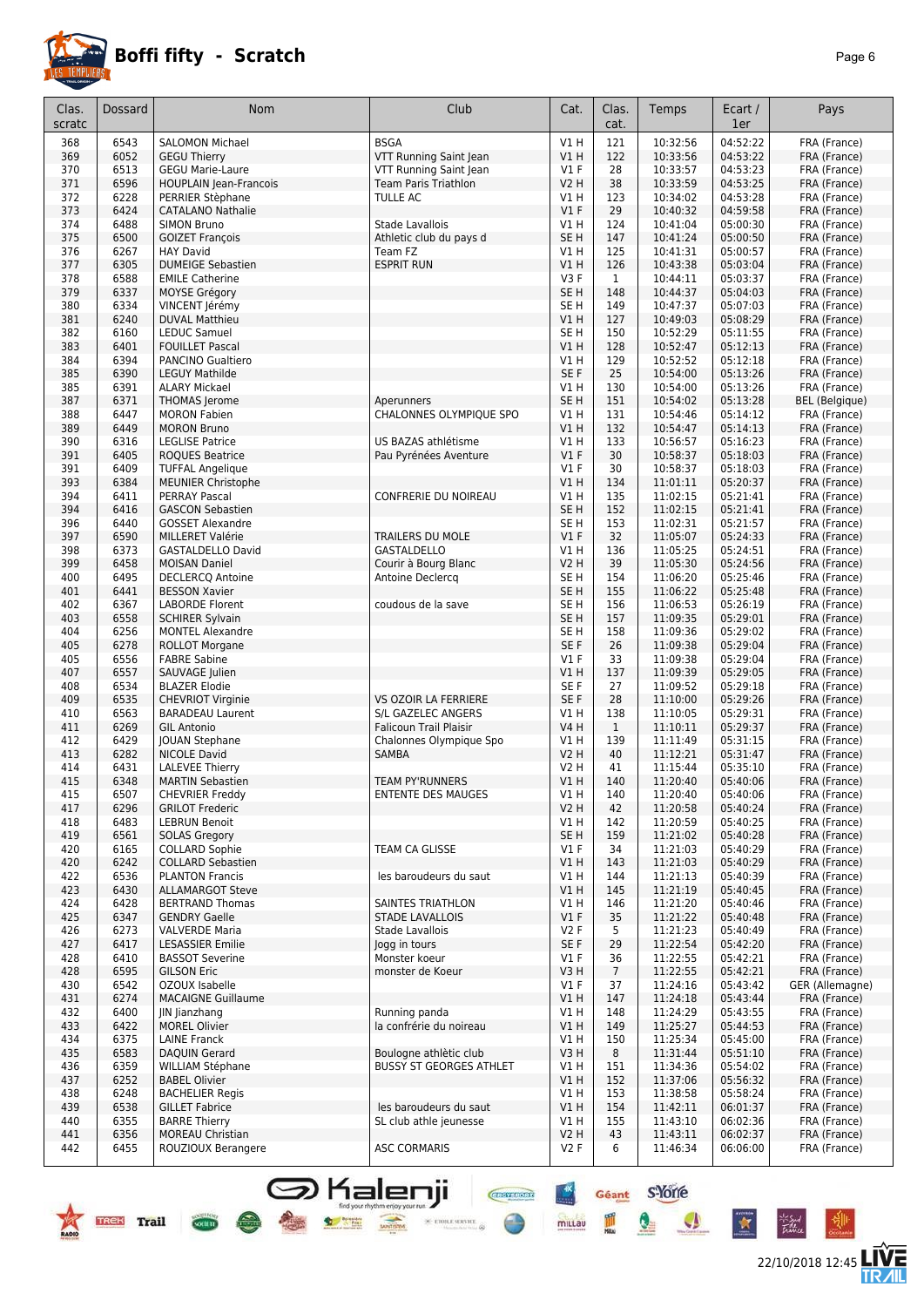

| Clas.<br>scratc | Dossard      | <b>Nom</b>                                       | Club                                               | Cat.                           | Clas.<br>cat.   | Temps                | Ecart /<br>1er       | Pays                         |
|-----------------|--------------|--------------------------------------------------|----------------------------------------------------|--------------------------------|-----------------|----------------------|----------------------|------------------------------|
| 368             | 6543         | <b>SALOMON Michael</b>                           | <b>BSGA</b>                                        | V1H                            | 121             | 10:32:56             | 04:52:22             | FRA (France)                 |
| 369             | 6052         | <b>GEGU Thierry</b>                              | VTT Running Saint Jean                             | VIH                            | 122             | 10:33:56             | 04:53:22             | FRA (France)                 |
| 370             | 6513         | <b>GEGU Marie-Laure</b>                          | VTT Running Saint Jean                             | $VI$ F                         | 28              | 10:33:57             | 04:53:23             | FRA (France)                 |
| 371             | 6596         | <b>HOUPLAIN Jean-Francois</b>                    | <b>Team Paris Triathlon</b>                        | V2 H                           | 38              | 10:33:59             | 04:53:25             | FRA (France)                 |
| 372             | 6228         | PERRIER Stèphane                                 | <b>TULLE AC</b>                                    | V1 H                           | 123             | 10:34:02             | 04:53:28             | FRA (France)                 |
| 373             | 6424         | <b>CATALANO Nathalie</b>                         |                                                    | V1F                            | 29              | 10:40:32             | 04:59:58             | FRA (France)                 |
| 374<br>375      | 6488<br>6500 | <b>SIMON Bruno</b><br><b>GOIZET François</b>     | <b>Stade Lavallois</b><br>Athletic club du pays d  | V1H<br>SE <sub>H</sub>         | 124<br>147      | 10:41:04<br>10:41:24 | 05:00:30<br>05:00:50 | FRA (France)<br>FRA (France) |
| 376             | 6267         | <b>HAY David</b>                                 | Team FZ                                            | V1 H                           | 125             | 10:41:31             | 05:00:57             | FRA (France)                 |
| 377             | 6305         | <b>DUMEIGE Sebastien</b>                         | <b>ESPRIT RUN</b>                                  | V1H                            | 126             | 10:43:38             | 05:03:04             | FRA (France)                 |
| 378             | 6588         | <b>EMILE Catherine</b>                           |                                                    | V3F                            | $\mathbf{1}$    | 10:44:11             | 05:03:37             | FRA (France)                 |
| 379             | 6337         | MOYSE Grégory                                    |                                                    | SE <sub>H</sub>                | 148             | 10:44:37             | 05:04:03             | FRA (France)                 |
| 380             | 6334         | VINCENT Jérémy                                   |                                                    | SE <sub>H</sub>                | 149             | 10:47:37             | 05:07:03             | FRA (France)                 |
| 381             | 6240         | <b>DUVAL Matthieu</b>                            |                                                    | V1 H                           | 127             | 10:49:03             | 05:08:29             | FRA (France)                 |
| 382<br>383      | 6160<br>6401 | LEDUC Samuel<br><b>FOUILLET Pascal</b>           |                                                    | SE H<br>V1 H                   | 150<br>128      | 10:52:29<br>10:52:47 | 05:11:55<br>05:12:13 | FRA (France)<br>FRA (France) |
| 384             | 6394         | PANCINO Gualtiero                                |                                                    | V1 H                           | 129             | 10:52:52             | 05:12:18             | FRA (France)                 |
| 385             | 6390         | <b>LEGUY Mathilde</b>                            |                                                    | SE F                           | 25              | 10:54:00             | 05:13:26             | FRA (France)                 |
| 385             | 6391         | <b>ALARY Mickael</b>                             |                                                    | V1 H                           | 130             | 10:54:00             | 05:13:26             | FRA (France)                 |
| 387             | 6371         | THOMAS Jerome                                    | Aperunners                                         | SE <sub>H</sub>                | 151             | 10:54:02             | 05:13:28             | <b>BEL</b> (Belgique)        |
| 388             | 6447         | <b>MORON Fabien</b>                              | CHALONNES OLYMPIQUE SPO                            | V1 H                           | 131             | 10:54:46             | 05:14:12             | FRA (France)                 |
| 389             | 6449         | <b>MORON Bruno</b>                               |                                                    | VIH                            | 132             | 10:54:47             | 05:14:13             | FRA (France)                 |
| 390<br>391      | 6316<br>6405 | <b>LEGLISE Patrice</b><br><b>ROQUES Beatrice</b> | US BAZAS athlétisme<br>Pau Pyrénées Aventure       | V1 H<br>V1F                    | 133<br>30       | 10:56:57<br>10:58:37 | 05:16:23<br>05:18:03 | FRA (France)<br>FRA (France) |
| 391             | 6409         | <b>TUFFAL Angelique</b>                          |                                                    | $VI$ F                         | 30              | 10:58:37             | 05:18:03             | FRA (France)                 |
| 393             | 6384         | <b>MEUNIER Christophe</b>                        |                                                    | VIH                            | 134             | 11:01:11             | 05:20:37             | FRA (France)                 |
| 394             | 6411         | <b>PERRAY Pascal</b>                             | <b>CONFRERIE DU NOIREAU</b>                        | V1 H                           | 135             | 11:02:15             | 05:21:41             | FRA (France)                 |
| 394             | 6416         | <b>GASCON Sebastien</b>                          |                                                    | SE <sub>H</sub>                | 152             | 11:02:15             | 05:21:41             | FRA (France)                 |
| 396             | 6440         | <b>GOSSET Alexandre</b>                          |                                                    | SE H                           | 153             | 11:02:31             | 05:21:57             | FRA (France)                 |
| 397             | 6590         | MILLERET Valérie                                 | <b>TRAILERS DU MOLE</b>                            | $VI$ F                         | 32              | 11:05:07             | 05:24:33             | FRA (France)                 |
| 398             | 6373         | GASTALDELLO David                                | <b>GASTALDELLO</b>                                 | V1H                            | 136             | 11:05:25             | 05:24:51             | FRA (France)                 |
| 399<br>400      | 6458<br>6495 | <b>MOISAN Daniel</b><br><b>DECLERCQ Antoine</b>  | Courir à Bourg Blanc<br>Antoine Declercq           | <b>V2 H</b><br>SE <sub>H</sub> | 39<br>154       | 11:05:30<br>11:06:20 | 05:24:56<br>05:25:46 | FRA (France)<br>FRA (France) |
| 401             | 6441         | <b>BESSON Xavier</b>                             |                                                    | SE <sub>H</sub>                | 155             | 11:06:22             | 05:25:48             | FRA (France)                 |
| 402             | 6367         | LABORDE Florent                                  | coudous de la save                                 | SE H                           | 156             | 11:06:53             | 05:26:19             | FRA (France)                 |
| 403             | 6558         | <b>SCHIRER Sylvain</b>                           |                                                    | SE <sub>H</sub>                | 157             | 11:09:35             | 05:29:01             | FRA (France)                 |
| 404             | 6256         | <b>MONTEL Alexandre</b>                          |                                                    | SE <sub>H</sub>                | 158             | 11:09:36             | 05:29:02             | FRA (France)                 |
| 405             | 6278         | <b>ROLLOT Morgane</b>                            |                                                    | SE F                           | 26              | 11:09:38             | 05:29:04             | FRA (France)                 |
| 405             | 6556         | <b>FABRE Sabine</b>                              |                                                    | $VI$ F                         | 33              | 11:09:38             | 05:29:04             | FRA (France)                 |
| 407             | 6557         | SAUVAGE Julien                                   |                                                    | V1 H                           | 137             | 11:09:39             | 05:29:05             | FRA (France)                 |
| 408<br>409      | 6534<br>6535 | <b>BLAZER Elodie</b><br><b>CHEVRIOT Virginie</b> | VS OZOIR LA FERRIERE                               | SE F<br>SE F                   | 27<br>28        | 11:09:52<br>11:10:00 | 05:29:18<br>05:29:26 | FRA (France)                 |
| 410             | 6563         | <b>BARADEAU Laurent</b>                          | S/L GAZELEC ANGERS                                 | V1 H                           | 138             | 11:10:05             | 05:29:31             | FRA (France)<br>FRA (France) |
| 411             | 6269         | <b>GIL Antonio</b>                               | <b>Falicoun Trail Plaisir</b>                      | <b>V4 H</b>                    | $\mathbf{1}$    | 11:10:11             | 05:29:37             | FRA (France)                 |
| 412             | 6429         | JOUAN Stephane                                   | Chalonnes Olympique Spo                            | V1 H                           | 139             | 11:11:49             | 05:31:15             | FRA (France)                 |
| 413             | 6282         | <b>NICOLE David</b>                              | <b>SAMBA</b>                                       | <b>V2 H</b>                    | 40              | 11:12:21             | 05:31:47             | FRA (France)                 |
| 414             | 6431         | <b>LALEVEE Thierry</b>                           |                                                    | V2 H                           | 41              | 11:15:44             | 05:35:10             | FRA (France)                 |
| 415             | 6348         | <b>MARTIN Sebastien</b>                          | <b>TEAM PY'RUNNERS</b>                             | VIH                            | 140             | 11:20:40             | 05:40:06             | FRA (France)                 |
| 415<br>417      | 6507<br>6296 | <b>CHEVRIER Freddy</b><br><b>GRILOT Frederic</b> | ENTENTE DES MAUGES                                 | VIH<br><b>V2 H</b>             | 140<br>42       | 11:20:40<br>11:20:58 | 05:40:06<br>05:40:24 | FRA (France)<br>FRA (France) |
| 418             | 6483         | <b>LEBRUN Benoit</b>                             |                                                    | V1H                            | 142             | 11:20:59             | 05:40:25             | FRA (France)                 |
| 419             | 6561         | <b>SOLAS Gregory</b>                             |                                                    | SE H                           | 159             | 11:21:02             | 05:40:28             | FRA (France)                 |
| 420             | 6165         | <b>COLLARD Sophie</b>                            | TEAM CA GLISSE                                     | $VI$ F                         | 34              | 11:21:03             | 05:40:29             | FRA (France)                 |
| 420             | 6242         | <b>COLLARD Sebastien</b>                         |                                                    | V1H                            | 143             | 11:21:03             | 05:40:29             | FRA (France)                 |
| 422             | 6536         | <b>PLANTON Francis</b>                           | les baroudeurs du saut                             | V1 H                           | 144             | 11:21:13             | 05:40:39             | FRA (France)                 |
| 423             | 6430         | <b>ALLAMARGOT Steve</b>                          |                                                    | V1 H                           | 145             | 11:21:19             | 05:40:45             | FRA (France)                 |
| 424<br>425      | 6428<br>6347 | <b>BERTRAND Thomas</b><br><b>GENDRY Gaelle</b>   | <b>SAINTES TRIATHLON</b><br><b>STADE LAVALLOIS</b> | V1 H<br>$VI$ F                 | 146<br>35       | 11:21:20<br>11:21:22 | 05:40:46<br>05:40:48 | FRA (France)<br>FRA (France) |
| 426             | 6273         | <b>VALVERDE Maria</b>                            | Stade Lavallois                                    | V2F                            | 5               | 11:21:23             | 05:40:49             | FRA (France)                 |
| 427             | 6417         | <b>LESASSIER Emilie</b>                          | logg in tours                                      | SE F                           | 29              | 11:22:54             | 05:42:20             | FRA (France)                 |
| 428             | 6410         | <b>BASSOT Severine</b>                           | Monster koeur                                      | $VI$ F                         | 36              | 11:22:55             | 05:42:21             | FRA (France)                 |
| 428             | 6595         | <b>GILSON Eric</b>                               | monster de Koeur                                   | V3H                            | $7\overline{ }$ | 11:22:55             | 05:42:21             | FRA (France)                 |
| 430             | 6542         | OZOUX Isabelle                                   |                                                    | $VI$ F                         | 37              | 11:24:16             | 05:43:42             | GER (Allemagne)              |
| 431             | 6274         | <b>MACAIGNE Guillaume</b>                        |                                                    | V1 H                           | 147             | 11:24:18             | 05:43:44             | FRA (France)                 |
| 432             | 6400         | <b>IN lianzhang</b>                              | Running panda                                      | V1 H                           | 148             | 11:24:29             | 05:43:55             | FRA (France)                 |
| 433             | 6422         | <b>MOREL Olivier</b>                             | la confrérie du noireau                            | V1H                            | 149             | 11:25:27             | 05:44:53             | FRA (France)                 |
| 434<br>435      | 6375<br>6583 | LAINE Franck<br>DAQUIN Gerard                    | Boulogne athlètic club                             | V1 H<br>V3H                    | 150<br>8        | 11:25:34<br>11:31:44 | 05:45:00<br>05:51:10 | FRA (France)<br>FRA (France) |
| 436             | 6359         | WILLIAM Stéphane                                 | <b>BUSSY ST GEORGES ATHLET</b>                     | V1 H                           | 151             | 11:34:36             | 05:54:02             | FRA (France)                 |
| 437             | 6252         | <b>BABEL Olivier</b>                             |                                                    | V1H                            | 152             | 11:37:06             | 05:56:32             | FRA (France)                 |
| 438             | 6248         | <b>BACHELIER Regis</b>                           |                                                    | V1 H                           | 153             | 11:38:58             | 05:58:24             | FRA (France)                 |
| 439             | 6538         | <b>GILLET Fabrice</b>                            | les baroudeurs du saut                             | V1H                            | 154             | 11:42:11             | 06:01:37             | FRA (France)                 |
| 440             | 6355         | <b>BARRE Thierry</b>                             | SL club athle jeunesse                             | V1 H                           | 155             | 11:43:10             | 06:02:36             | FRA (France)                 |
| 441             | 6356         | <b>MOREAU Christian</b>                          |                                                    | V2H                            | 43              | 11:43:11             | 06:02:37             | FRA (France)                 |
| 442             | 6455         | ROUZIOUX Berangere                               | <b>ASC CORMARIS</b>                                | V2F                            | 6               | 11:46:34             | 06:06:00             | FRA (France)                 |

S Kalenji



Cocirre



⊬‴

Géant S-Yorre

 $\mathbf{Q}$ 

 $\frac{m}{m}$ 

 $\bullet$ 

 $\ddot{\ast}$ 

**Chevroom** 

 $\times$  error server  $\otimes$ 

 $\frac{1}{2}$ 

mittau